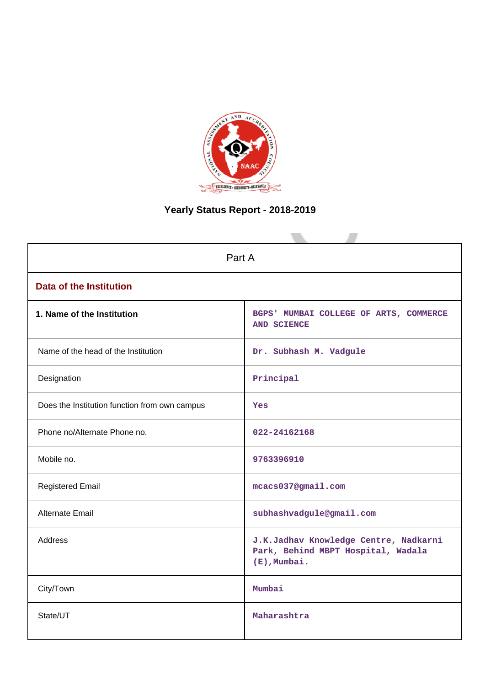

## **Yearly Status Report - 2018-2019**

| Part A                                        |                                                                                                |  |  |  |
|-----------------------------------------------|------------------------------------------------------------------------------------------------|--|--|--|
| <b>Data of the Institution</b>                |                                                                                                |  |  |  |
| 1. Name of the Institution                    | BGPS' MUMBAI COLLEGE OF ARTS, COMMERCE<br><b>AND SCIENCE</b>                                   |  |  |  |
| Name of the head of the Institution           | Dr. Subhash M. Vadgule                                                                         |  |  |  |
| Designation                                   | Principal                                                                                      |  |  |  |
| Does the Institution function from own campus | Yes                                                                                            |  |  |  |
| Phone no/Alternate Phone no.                  | 022-24162168                                                                                   |  |  |  |
| Mobile no.                                    | 9763396910                                                                                     |  |  |  |
| <b>Registered Email</b>                       | mcacs037@gmail.com                                                                             |  |  |  |
| Alternate Email                               | subhashvadgule@gmail.com                                                                       |  |  |  |
| <b>Address</b>                                | J.K.Jadhav Knowledge Centre, Nadkarni<br>Park, Behind MBPT Hospital, Wadala<br>$(E)$ , Mumbai. |  |  |  |
| City/Town                                     | Mumbai                                                                                         |  |  |  |
| State/UT                                      | Maharashtra                                                                                    |  |  |  |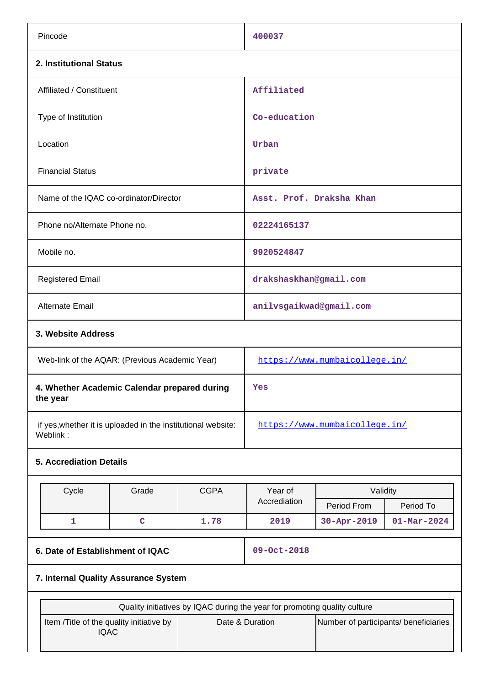| Pincode                                                                  |                                                         |             | 400037                                                                                                                                |                          |                   |
|--------------------------------------------------------------------------|---------------------------------------------------------|-------------|---------------------------------------------------------------------------------------------------------------------------------------|--------------------------|-------------------|
| 2. Institutional Status                                                  |                                                         |             |                                                                                                                                       |                          |                   |
| Affiliated / Constituent                                                 |                                                         |             | Affiliated                                                                                                                            |                          |                   |
| Type of Institution                                                      |                                                         |             | Co-education                                                                                                                          |                          |                   |
| Location                                                                 |                                                         |             | Urban                                                                                                                                 |                          |                   |
| <b>Financial Status</b>                                                  |                                                         |             | private                                                                                                                               |                          |                   |
| Name of the IQAC co-ordinator/Director                                   |                                                         |             |                                                                                                                                       | Asst. Prof. Draksha Khan |                   |
| Phone no/Alternate Phone no.                                             |                                                         |             | 02224165137                                                                                                                           |                          |                   |
| Mobile no.                                                               |                                                         |             | 9920524847                                                                                                                            |                          |                   |
| <b>Registered Email</b>                                                  |                                                         |             | drakshaskhan@gmail.com                                                                                                                |                          |                   |
| Alternate Email                                                          |                                                         |             | anilvsgaikwad@gmail.com                                                                                                               |                          |                   |
| 3. Website Address                                                       |                                                         |             |                                                                                                                                       |                          |                   |
| Web-link of the AQAR: (Previous Academic Year)                           |                                                         |             | https://www.mumbaicollege.in/                                                                                                         |                          |                   |
| 4. Whether Academic Calendar prepared during<br>the year                 |                                                         |             | Yes                                                                                                                                   |                          |                   |
| if yes, whether it is uploaded in the institutional website:<br>Weblink: |                                                         |             | https://www.mumbaicollege.in/                                                                                                         |                          |                   |
| <b>5. Accrediation Details</b>                                           |                                                         |             |                                                                                                                                       |                          |                   |
|                                                                          |                                                         |             |                                                                                                                                       |                          |                   |
| Cycle                                                                    | Grade                                                   | <b>CGPA</b> | Year of<br>Accrediation                                                                                                               | Validity<br>Period From  | Period To         |
| $\mathbf{1}$                                                             | $\mathbf C$                                             | 1.78        | 2019                                                                                                                                  | 30-Apr-2019              | $01 - Mar - 2024$ |
|                                                                          |                                                         |             |                                                                                                                                       |                          |                   |
| 6. Date of Establishment of IQAC                                         |                                                         |             | 09-Oct-2018                                                                                                                           |                          |                   |
| 7. Internal Quality Assurance System                                     |                                                         |             |                                                                                                                                       |                          |                   |
|                                                                          |                                                         |             |                                                                                                                                       |                          |                   |
|                                                                          | Item /Title of the quality initiative by<br><b>IQAC</b> |             | Quality initiatives by IQAC during the year for promoting quality culture<br>Date & Duration<br>Number of participants/ beneficiaries |                          |                   |
|                                                                          |                                                         |             |                                                                                                                                       |                          |                   |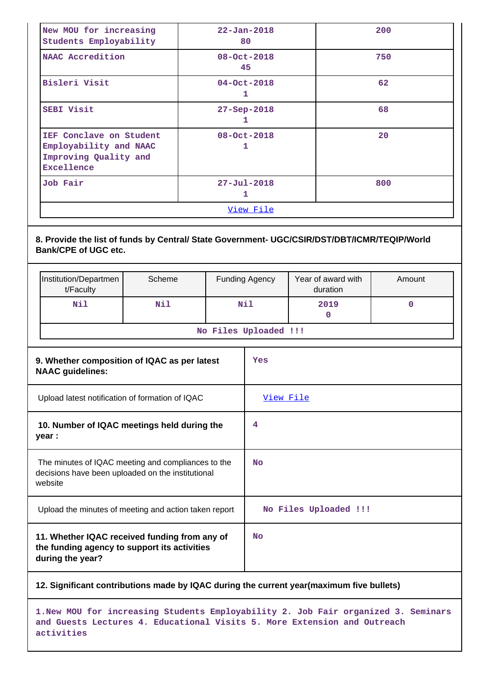| New MOU for increasing<br>Students Employability                                                                   |     |                         | $22 - Jan - 2018$<br>80 |                                | 200         |
|--------------------------------------------------------------------------------------------------------------------|-----|-------------------------|-------------------------|--------------------------------|-------------|
| NAAC Accredition                                                                                                   |     | $08 - 0ct - 2018$<br>45 |                         | 750                            |             |
| Bisleri Visit                                                                                                      |     |                         | $04 - Oct - 2018$<br>1  |                                | 62          |
| <b>SEBI Visit</b>                                                                                                  |     |                         | 27-Sep-2018<br>1        |                                | 68          |
| IEF Conclave on Student<br>Employability and NAAC<br>Improving Quality and<br><b>Excellence</b>                    |     | $08 - Oct - 2018$<br>1  |                         |                                | 20          |
| <b>Job Fair</b>                                                                                                    |     |                         | $27 - Ju1 - 2018$<br>1  |                                | 800         |
|                                                                                                                    |     |                         | View File               |                                |             |
| <b>Bank/CPE of UGC etc.</b><br>Institution/Departmen<br>Scheme<br>t/Faculty                                        |     |                         | <b>Funding Agency</b>   | Year of award with<br>duration | Amount      |
| N11                                                                                                                | Nil |                         | Nil                     | 2019<br>$\mathbf{0}$           | $\mathbf 0$ |
|                                                                                                                    |     |                         | No Files Uploaded !!!   |                                |             |
| 9. Whether composition of IQAC as per latest<br><b>NAAC</b> guidelines:                                            |     |                         |                         |                                |             |
| Upload latest notification of formation of IQAC                                                                    |     |                         | Yes                     |                                |             |
|                                                                                                                    |     |                         | View File               |                                |             |
| 10. Number of IQAC meetings held during the<br>year :                                                              |     |                         | 4                       |                                |             |
| The minutes of IQAC meeting and compliances to the<br>decisions have been uploaded on the institutional<br>website |     |                         | No                      |                                |             |
| Upload the minutes of meeting and action taken report                                                              |     |                         |                         | No Files Uploaded !!!          |             |

**11. Whether IQAC received funding from any of the funding agency to support its activities during the year?**

**12. Significant contributions made by IQAC during the current year(maximum five bullets)**

**1.New MOU for increasing Students Employability 2. Job Fair organized 3. Seminars and Guests Lectures 4. Educational Visits 5. More Extension and Outreach activities**

**No**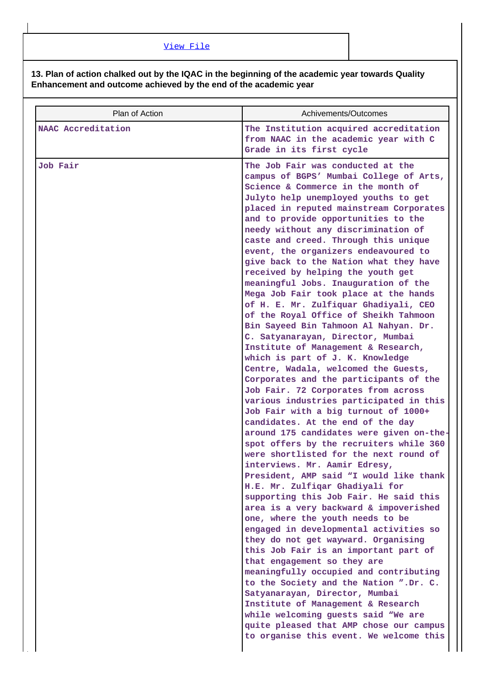## **13. Plan of action chalked out by the IQAC in the beginning of the academic year towards Quality Enhancement and outcome achieved by the end of the academic year**

| Plan of Action     | Achivements/Outcomes                                                                                                                                                                                                                                                                                                                                                                                                                                                                                                                                                                                                                                                                                                                                                                                                                                                                                                                                                                                                                                                                                                                                                                                                                                                                                                                                                                                                                                                                                                                                                                                       |
|--------------------|------------------------------------------------------------------------------------------------------------------------------------------------------------------------------------------------------------------------------------------------------------------------------------------------------------------------------------------------------------------------------------------------------------------------------------------------------------------------------------------------------------------------------------------------------------------------------------------------------------------------------------------------------------------------------------------------------------------------------------------------------------------------------------------------------------------------------------------------------------------------------------------------------------------------------------------------------------------------------------------------------------------------------------------------------------------------------------------------------------------------------------------------------------------------------------------------------------------------------------------------------------------------------------------------------------------------------------------------------------------------------------------------------------------------------------------------------------------------------------------------------------------------------------------------------------------------------------------------------------|
| NAAC Accreditation | The Institution acquired accreditation<br>from NAAC in the academic year with C<br>Grade in its first cycle                                                                                                                                                                                                                                                                                                                                                                                                                                                                                                                                                                                                                                                                                                                                                                                                                                                                                                                                                                                                                                                                                                                                                                                                                                                                                                                                                                                                                                                                                                |
| <b>Job Fair</b>    | The Job Fair was conducted at the<br>campus of BGPS' Mumbai College of Arts,<br>Science & Commerce in the month of<br>Julyto help unemployed youths to get<br>placed in reputed mainstream Corporates<br>and to provide opportunities to the<br>needy without any discrimination of<br>caste and creed. Through this unique<br>event, the organizers endeavoured to<br>give back to the Nation what they have<br>received by helping the youth get<br>meaningful Jobs. Inauguration of the<br>Mega Job Fair took place at the hands<br>of H. E. Mr. Zulfiquar Ghadiyali, CEO<br>of the Royal Office of Sheikh Tahmoon<br>Bin Sayeed Bin Tahmoon Al Nahyan. Dr.<br>C. Satyanarayan, Director, Mumbai<br>Institute of Management & Research,<br>which is part of J. K. Knowledge<br>Centre, Wadala, welcomed the Guests,<br>Corporates and the participants of the<br>Job Fair. 72 Corporates from across<br>various industries participated in this<br>Job Fair with a big turnout of 1000+<br>candidates. At the end of the day<br>around 175 candidates were given on-the-<br>spot offers by the recruiters while 360<br>were shortlisted for the next round of<br>interviews. Mr. Aamir Edresy,<br>President, AMP said "I would like thank<br>H.E. Mr. Zulfiqar Ghadiyali for<br>supporting this Job Fair. He said this<br>area is a very backward & impoverished<br>one, where the youth needs to be<br>engaged in developmental activities so<br>they do not get wayward. Organising<br>this Job Fair is an important part of<br>that engagement so they are<br>meaningfully occupied and contributing |
|                    | to the Society and the Nation ".Dr. C.<br>Satyanarayan, Director, Mumbai<br>Institute of Management & Research<br>while welcoming guests said "We are<br>quite pleased that AMP chose our campus                                                                                                                                                                                                                                                                                                                                                                                                                                                                                                                                                                                                                                                                                                                                                                                                                                                                                                                                                                                                                                                                                                                                                                                                                                                                                                                                                                                                           |
|                    | to organise this event. We welcome this                                                                                                                                                                                                                                                                                                                                                                                                                                                                                                                                                                                                                                                                                                                                                                                                                                                                                                                                                                                                                                                                                                                                                                                                                                                                                                                                                                                                                                                                                                                                                                    |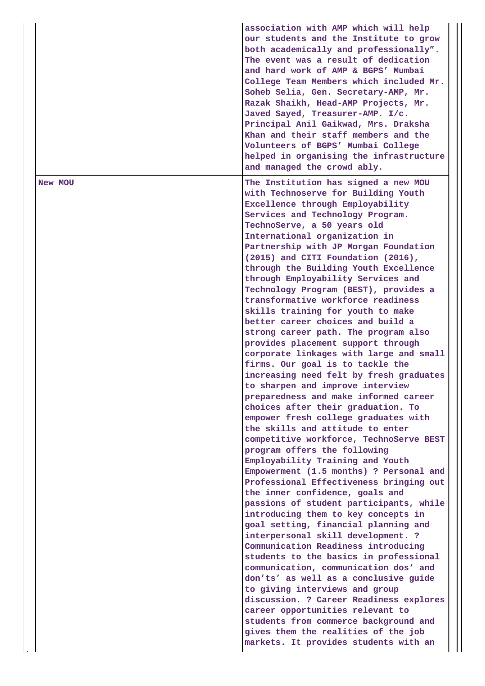|         | association with AMP which will help<br>our students and the Institute to grow<br>both academically and professionally".<br>The event was a result of dedication<br>and hard work of AMP & BGPS' Mumbai<br>College Team Members which included Mr.<br>Soheb Selia, Gen. Secretary-AMP, Mr.<br>Razak Shaikh, Head-AMP Projects, Mr.<br>Javed Sayed, Treasurer-AMP. I/c.<br>Principal Anil Gaikwad, Mrs. Draksha<br>Khan and their staff members and the<br>Volunteers of BGPS' Mumbai College<br>helped in organising the infrastructure<br>and managed the crowd ably.                                                                                                                                                                                                                                                                                                                                                                                                                                                                                                                                                                                                                                                                                                                                                                                                                                                                                                                                                                                                                                                                                                                                                                                                 |
|---------|------------------------------------------------------------------------------------------------------------------------------------------------------------------------------------------------------------------------------------------------------------------------------------------------------------------------------------------------------------------------------------------------------------------------------------------------------------------------------------------------------------------------------------------------------------------------------------------------------------------------------------------------------------------------------------------------------------------------------------------------------------------------------------------------------------------------------------------------------------------------------------------------------------------------------------------------------------------------------------------------------------------------------------------------------------------------------------------------------------------------------------------------------------------------------------------------------------------------------------------------------------------------------------------------------------------------------------------------------------------------------------------------------------------------------------------------------------------------------------------------------------------------------------------------------------------------------------------------------------------------------------------------------------------------------------------------------------------------------------------------------------------------|
| New MOU | The Institution has signed a new MOU<br>with Technoserve for Building Youth<br>Excellence through Employability<br>Services and Technology Program.<br>TechnoServe, a 50 years old<br>International organization in<br>Partnership with JP Morgan Foundation<br>(2015) and CITI Foundation (2016),<br>through the Building Youth Excellence<br>through Employability Services and<br>Technology Program (BEST), provides a<br>transformative workforce readiness<br>skills training for youth to make<br>better career choices and build a<br>strong career path. The program also<br>provides placement support through<br>corporate linkages with large and small<br>firms. Our goal is to tackle the<br>increasing need felt by fresh graduates<br>to sharpen and improve interview<br>preparedness and make informed career<br>choices after their graduation. To<br>empower fresh college graduates with<br>the skills and attitude to enter<br>competitive workforce, TechnoServe BEST<br>program offers the following<br>Employability Training and Youth<br>Empowerment (1.5 months) ? Personal and<br>Professional Effectiveness bringing out<br>the inner confidence, goals and<br>passions of student participants, while<br>introducing them to key concepts in<br>goal setting, financial planning and<br>interpersonal skill development. ?<br>Communication Readiness introducing<br>students to the basics in professional<br>communication, communication dos' and<br>don'ts' as well as a conclusive guide<br>to giving interviews and group<br>discussion. ? Career Readiness explores<br>career opportunities relevant to<br>students from commerce background and<br>gives them the realities of the job<br>markets. It provides students with an |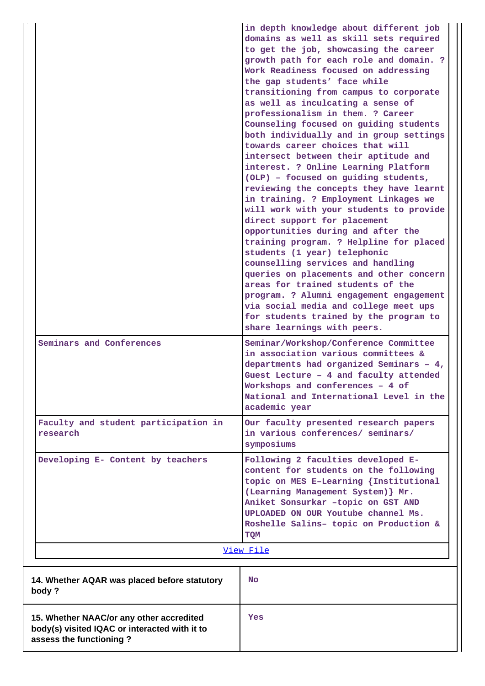|                                                                                                                      | in depth knowledge about different job<br>domains as well as skill sets required<br>to get the job, showcasing the career<br>growth path for each role and domain. ?<br>Work Readiness focused on addressing<br>the gap students' face while<br>transitioning from campus to corporate<br>as well as inculcating a sense of<br>professionalism in them. ? Career<br>Counseling focused on guiding students<br>both individually and in group settings<br>towards career choices that will<br>intersect between their aptitude and<br>interest. ? Online Learning Platform<br>(OLP) - focused on guiding students,<br>reviewing the concepts they have learnt<br>in training. ? Employment Linkages we<br>will work with your students to provide<br>direct support for placement<br>opportunities during and after the<br>training program. ? Helpline for placed<br>students (1 year) telephonic<br>counselling services and handling<br>queries on placements and other concern<br>areas for trained students of the<br>program. ? Alumni engagement engagement<br>via social media and college meet ups<br>for students trained by the program to<br>share learnings with peers. |
|----------------------------------------------------------------------------------------------------------------------|-------------------------------------------------------------------------------------------------------------------------------------------------------------------------------------------------------------------------------------------------------------------------------------------------------------------------------------------------------------------------------------------------------------------------------------------------------------------------------------------------------------------------------------------------------------------------------------------------------------------------------------------------------------------------------------------------------------------------------------------------------------------------------------------------------------------------------------------------------------------------------------------------------------------------------------------------------------------------------------------------------------------------------------------------------------------------------------------------------------------------------------------------------------------------------------|
| Seminars and Conferences                                                                                             | Seminar/Workshop/Conference Committee<br>in association various committees &<br>departments had organized Seminars - 4,<br>Guest Lecture - 4 and faculty attended<br>Workshops and conferences - 4 of<br>National and International Level in the<br>academic year                                                                                                                                                                                                                                                                                                                                                                                                                                                                                                                                                                                                                                                                                                                                                                                                                                                                                                                   |
| Faculty and student participation in<br>research                                                                     | Our faculty presented research papers<br>in various conferences/ seminars/<br>symposiums                                                                                                                                                                                                                                                                                                                                                                                                                                                                                                                                                                                                                                                                                                                                                                                                                                                                                                                                                                                                                                                                                            |
| Developing E- Content by teachers                                                                                    | Following 2 faculties developed E-<br>content for students on the following<br>topic on MES E-Learning {Institutional<br>(Learning Management System) } Mr.<br>Aniket Sonsurkar -topic on GST AND<br>UPLOADED ON OUR Youtube channel Ms.<br>Roshelle Salins- topic on Production &<br>TQM<br>View File                                                                                                                                                                                                                                                                                                                                                                                                                                                                                                                                                                                                                                                                                                                                                                                                                                                                              |
|                                                                                                                      |                                                                                                                                                                                                                                                                                                                                                                                                                                                                                                                                                                                                                                                                                                                                                                                                                                                                                                                                                                                                                                                                                                                                                                                     |
| 14. Whether AQAR was placed before statutory<br>body?                                                                | No.                                                                                                                                                                                                                                                                                                                                                                                                                                                                                                                                                                                                                                                                                                                                                                                                                                                                                                                                                                                                                                                                                                                                                                                 |
| 15. Whether NAAC/or any other accredited<br>body(s) visited IQAC or interacted with it to<br>assess the functioning? | Yes                                                                                                                                                                                                                                                                                                                                                                                                                                                                                                                                                                                                                                                                                                                                                                                                                                                                                                                                                                                                                                                                                                                                                                                 |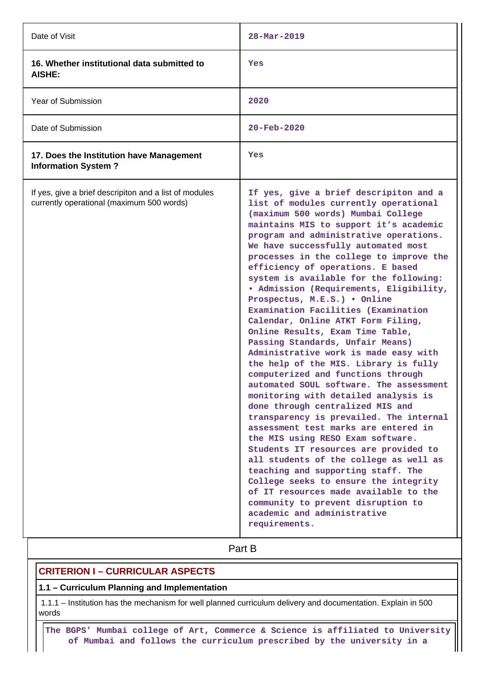| Date of Visit                                                                                       | $28 - \text{Mar} - 2019$                                                                                                                                                                                                                                                                                                                                                                                                                                                                                                                                                                                                                                                                                                                                                                                                                                                                                                                                                                                                                                                                                                                                                                                                                                                           |
|-----------------------------------------------------------------------------------------------------|------------------------------------------------------------------------------------------------------------------------------------------------------------------------------------------------------------------------------------------------------------------------------------------------------------------------------------------------------------------------------------------------------------------------------------------------------------------------------------------------------------------------------------------------------------------------------------------------------------------------------------------------------------------------------------------------------------------------------------------------------------------------------------------------------------------------------------------------------------------------------------------------------------------------------------------------------------------------------------------------------------------------------------------------------------------------------------------------------------------------------------------------------------------------------------------------------------------------------------------------------------------------------------|
| 16. Whether institutional data submitted to<br><b>AISHE:</b>                                        | Yes                                                                                                                                                                                                                                                                                                                                                                                                                                                                                                                                                                                                                                                                                                                                                                                                                                                                                                                                                                                                                                                                                                                                                                                                                                                                                |
| <b>Year of Submission</b>                                                                           | 2020                                                                                                                                                                                                                                                                                                                                                                                                                                                                                                                                                                                                                                                                                                                                                                                                                                                                                                                                                                                                                                                                                                                                                                                                                                                                               |
| Date of Submission                                                                                  | $20 - \text{Feb} - 2020$                                                                                                                                                                                                                                                                                                                                                                                                                                                                                                                                                                                                                                                                                                                                                                                                                                                                                                                                                                                                                                                                                                                                                                                                                                                           |
| 17. Does the Institution have Management<br><b>Information System?</b>                              | Yes                                                                                                                                                                                                                                                                                                                                                                                                                                                                                                                                                                                                                                                                                                                                                                                                                                                                                                                                                                                                                                                                                                                                                                                                                                                                                |
| If yes, give a brief descripiton and a list of modules<br>currently operational (maximum 500 words) | If yes, give a brief descripiton and a<br>list of modules currently operational<br>(maximum 500 words) Mumbai College<br>maintains MIS to support it's academic<br>program and administrative operations.<br>We have successfully automated most<br>processes in the college to improve the<br>efficiency of operations. E based<br>system is available for the following:<br>· Admission (Requirements, Eligibility,<br>Prospectus, M.E.S.) . Online<br>Examination Facilities (Examination<br>Calendar, Online ATKT Form Filing,<br>Online Results, Exam Time Table,<br>Passing Standards, Unfair Means)<br>Administrative work is made easy with<br>the help of the MIS. Library is fully<br>computerized and functions through<br>automated SOUL software. The assessment<br>monitoring with detailed analysis is<br>done through centralized MIS and<br>transparency is prevailed. The internal<br>assessment test marks are entered in<br>the MIS using RESO Exam software.<br>Students IT resources are provided to<br>all students of the college as well as<br>teaching and supporting staff. The<br>College seeks to ensure the integrity<br>of IT resources made available to the<br>community to prevent disruption to<br>academic and administrative<br>requirements. |

# **Part B**

## **CRITERION I – CURRICULAR ASPECTS**

## **1.1 – Curriculum Planning and Implementation**

 1.1.1 – Institution has the mechanism for well planned curriculum delivery and documentation. Explain in 500 words

 **The BGPS' Mumbai college of Art, Commerce & Science is affiliated to University of Mumbai and follows the curriculum prescribed by the university in a**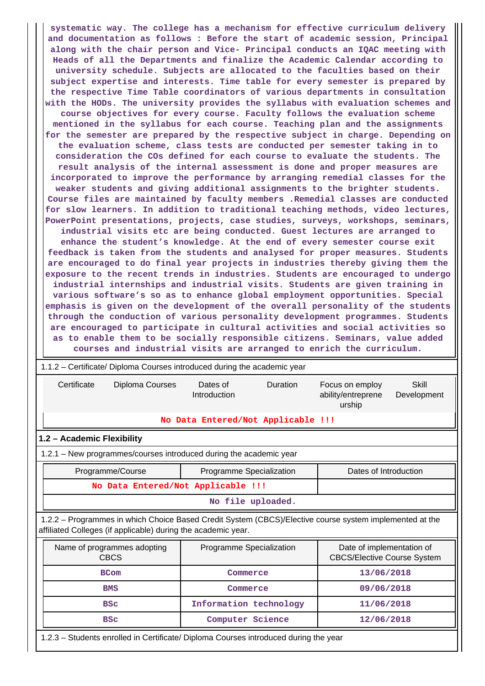**systematic way. The college has a mechanism for effective curriculum delivery and documentation as follows : Before the start of academic session, Principal along with the chair person and Vice- Principal conducts an IQAC meeting with Heads of all the Departments and finalize the Academic Calendar according to university schedule. Subjects are allocated to the faculties based on their subject expertise and interests. Time table for every semester is prepared by the respective Time Table coordinators of various departments in consultation with the HODs. The university provides the syllabus with evaluation schemes and course objectives for every course. Faculty follows the evaluation scheme mentioned in the syllabus for each course. Teaching plan and the assignments for the semester are prepared by the respective subject in charge. Depending on the evaluation scheme, class tests are conducted per semester taking in to consideration the COs defined for each course to evaluate the students. The result analysis of the internal assessment is done and proper measures are incorporated to improve the performance by arranging remedial classes for the weaker students and giving additional assignments to the brighter students. Course files are maintained by faculty members .Remedial classes are conducted for slow learners. In addition to traditional teaching methods, video lectures, PowerPoint presentations, projects, case studies, surveys, workshops, seminars, industrial visits etc are being conducted. Guest lectures are arranged to enhance the student's knowledge. At the end of every semester course exit feedback is taken from the students and analysed for proper measures. Students are encouraged to do final year projects in industries thereby giving them the exposure to the recent trends in industries. Students are encouraged to undergo industrial internships and industrial visits. Students are given training in various software's so as to enhance global employment opportunities. Special emphasis is given on the development of the overall personality of the students through the conduction of various personality development programmes. Students are encouraged to participate in cultural activities and social activities so as to enable them to be socially responsible citizens. Seminars, value added courses and industrial visits are arranged to enrich the curriculum.**

| 1.1.2 – Certificate/ Diploma Courses introduced during the academic year                                                                                                 |                                                   |                          |                                                                 |                      |  |  |  |  |
|--------------------------------------------------------------------------------------------------------------------------------------------------------------------------|---------------------------------------------------|--------------------------|-----------------------------------------------------------------|----------------------|--|--|--|--|
| Certificate<br>Diploma Courses                                                                                                                                           | Dates of<br>Introduction                          | Duration                 | Focus on employ<br>ability/entreprene<br>urship                 | Skill<br>Development |  |  |  |  |
|                                                                                                                                                                          | No Data Entered/Not Applicable !!!                |                          |                                                                 |                      |  |  |  |  |
| 1.2 - Academic Flexibility                                                                                                                                               |                                                   |                          |                                                                 |                      |  |  |  |  |
| 1.2.1 – New programmes/courses introduced during the academic year                                                                                                       |                                                   |                          |                                                                 |                      |  |  |  |  |
| Programme/Course                                                                                                                                                         | Programme Specialization<br>Dates of Introduction |                          |                                                                 |                      |  |  |  |  |
| No Data Entered/Not Applicable !!!                                                                                                                                       |                                                   |                          |                                                                 |                      |  |  |  |  |
|                                                                                                                                                                          | No file uploaded.                                 |                          |                                                                 |                      |  |  |  |  |
| 1.2.2 - Programmes in which Choice Based Credit System (CBCS)/Elective course system implemented at the<br>affiliated Colleges (if applicable) during the academic year. |                                                   |                          |                                                                 |                      |  |  |  |  |
| Name of programmes adopting<br><b>CBCS</b>                                                                                                                               |                                                   | Programme Specialization | Date of implementation of<br><b>CBCS/Elective Course System</b> |                      |  |  |  |  |
| <b>BCom</b><br>Commerce                                                                                                                                                  |                                                   | 13/06/2018               |                                                                 |                      |  |  |  |  |
| <b>BMS</b>                                                                                                                                                               |                                                   | Commerce                 | 09/06/2018                                                      |                      |  |  |  |  |
| <b>BSC</b>                                                                                                                                                               |                                                   | Information technology   | 11/06/2018                                                      |                      |  |  |  |  |
| <b>BSC</b>                                                                                                                                                               |                                                   | Computer Science         | 12/06/2018                                                      |                      |  |  |  |  |

1.2.3 – Students enrolled in Certificate/ Diploma Courses introduced during the year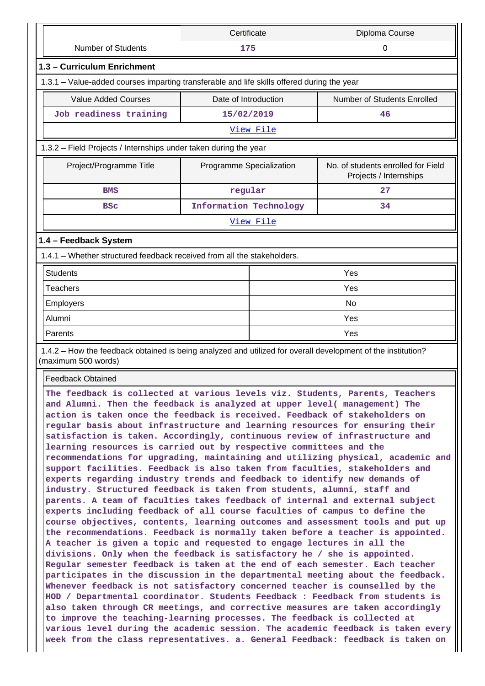|                                                                                                                                                                                                                                                                                                                                                                                                                                                                                                                                                                                                                                                                                                                                                                                                                                                                                                                                                                                                                                                                                                                                                                                                                                                                                                                                                                                                                                                                                                                                                                                                                                                                                                                                                                                               | Certificate              |           | Diploma Course                                                                                                                                                     |  |  |  |  |
|-----------------------------------------------------------------------------------------------------------------------------------------------------------------------------------------------------------------------------------------------------------------------------------------------------------------------------------------------------------------------------------------------------------------------------------------------------------------------------------------------------------------------------------------------------------------------------------------------------------------------------------------------------------------------------------------------------------------------------------------------------------------------------------------------------------------------------------------------------------------------------------------------------------------------------------------------------------------------------------------------------------------------------------------------------------------------------------------------------------------------------------------------------------------------------------------------------------------------------------------------------------------------------------------------------------------------------------------------------------------------------------------------------------------------------------------------------------------------------------------------------------------------------------------------------------------------------------------------------------------------------------------------------------------------------------------------------------------------------------------------------------------------------------------------|--------------------------|-----------|--------------------------------------------------------------------------------------------------------------------------------------------------------------------|--|--|--|--|
| <b>Number of Students</b>                                                                                                                                                                                                                                                                                                                                                                                                                                                                                                                                                                                                                                                                                                                                                                                                                                                                                                                                                                                                                                                                                                                                                                                                                                                                                                                                                                                                                                                                                                                                                                                                                                                                                                                                                                     | 175                      |           | 0                                                                                                                                                                  |  |  |  |  |
| 1.3 - Curriculum Enrichment                                                                                                                                                                                                                                                                                                                                                                                                                                                                                                                                                                                                                                                                                                                                                                                                                                                                                                                                                                                                                                                                                                                                                                                                                                                                                                                                                                                                                                                                                                                                                                                                                                                                                                                                                                   |                          |           |                                                                                                                                                                    |  |  |  |  |
| 1.3.1 - Value-added courses imparting transferable and life skills offered during the year                                                                                                                                                                                                                                                                                                                                                                                                                                                                                                                                                                                                                                                                                                                                                                                                                                                                                                                                                                                                                                                                                                                                                                                                                                                                                                                                                                                                                                                                                                                                                                                                                                                                                                    |                          |           |                                                                                                                                                                    |  |  |  |  |
| <b>Value Added Courses</b>                                                                                                                                                                                                                                                                                                                                                                                                                                                                                                                                                                                                                                                                                                                                                                                                                                                                                                                                                                                                                                                                                                                                                                                                                                                                                                                                                                                                                                                                                                                                                                                                                                                                                                                                                                    | Date of Introduction     |           | Number of Students Enrolled                                                                                                                                        |  |  |  |  |
| Job readiness training                                                                                                                                                                                                                                                                                                                                                                                                                                                                                                                                                                                                                                                                                                                                                                                                                                                                                                                                                                                                                                                                                                                                                                                                                                                                                                                                                                                                                                                                                                                                                                                                                                                                                                                                                                        | 15/02/2019               |           | 46                                                                                                                                                                 |  |  |  |  |
|                                                                                                                                                                                                                                                                                                                                                                                                                                                                                                                                                                                                                                                                                                                                                                                                                                                                                                                                                                                                                                                                                                                                                                                                                                                                                                                                                                                                                                                                                                                                                                                                                                                                                                                                                                                               |                          | View File |                                                                                                                                                                    |  |  |  |  |
| 1.3.2 - Field Projects / Internships under taken during the year                                                                                                                                                                                                                                                                                                                                                                                                                                                                                                                                                                                                                                                                                                                                                                                                                                                                                                                                                                                                                                                                                                                                                                                                                                                                                                                                                                                                                                                                                                                                                                                                                                                                                                                              |                          |           |                                                                                                                                                                    |  |  |  |  |
| Project/Programme Title                                                                                                                                                                                                                                                                                                                                                                                                                                                                                                                                                                                                                                                                                                                                                                                                                                                                                                                                                                                                                                                                                                                                                                                                                                                                                                                                                                                                                                                                                                                                                                                                                                                                                                                                                                       | Programme Specialization |           | No. of students enrolled for Field<br>Projects / Internships                                                                                                       |  |  |  |  |
| <b>BMS</b>                                                                                                                                                                                                                                                                                                                                                                                                                                                                                                                                                                                                                                                                                                                                                                                                                                                                                                                                                                                                                                                                                                                                                                                                                                                                                                                                                                                                                                                                                                                                                                                                                                                                                                                                                                                    | regular                  |           | 27                                                                                                                                                                 |  |  |  |  |
| <b>BSC</b>                                                                                                                                                                                                                                                                                                                                                                                                                                                                                                                                                                                                                                                                                                                                                                                                                                                                                                                                                                                                                                                                                                                                                                                                                                                                                                                                                                                                                                                                                                                                                                                                                                                                                                                                                                                    | Information Technology   |           | 34                                                                                                                                                                 |  |  |  |  |
|                                                                                                                                                                                                                                                                                                                                                                                                                                                                                                                                                                                                                                                                                                                                                                                                                                                                                                                                                                                                                                                                                                                                                                                                                                                                                                                                                                                                                                                                                                                                                                                                                                                                                                                                                                                               |                          | View File |                                                                                                                                                                    |  |  |  |  |
| 1.4 - Feedback System                                                                                                                                                                                                                                                                                                                                                                                                                                                                                                                                                                                                                                                                                                                                                                                                                                                                                                                                                                                                                                                                                                                                                                                                                                                                                                                                                                                                                                                                                                                                                                                                                                                                                                                                                                         |                          |           |                                                                                                                                                                    |  |  |  |  |
| 1.4.1 - Whether structured feedback received from all the stakeholders.                                                                                                                                                                                                                                                                                                                                                                                                                                                                                                                                                                                                                                                                                                                                                                                                                                                                                                                                                                                                                                                                                                                                                                                                                                                                                                                                                                                                                                                                                                                                                                                                                                                                                                                       |                          |           |                                                                                                                                                                    |  |  |  |  |
| <b>Students</b>                                                                                                                                                                                                                                                                                                                                                                                                                                                                                                                                                                                                                                                                                                                                                                                                                                                                                                                                                                                                                                                                                                                                                                                                                                                                                                                                                                                                                                                                                                                                                                                                                                                                                                                                                                               |                          |           | Yes                                                                                                                                                                |  |  |  |  |
| <b>Teachers</b>                                                                                                                                                                                                                                                                                                                                                                                                                                                                                                                                                                                                                                                                                                                                                                                                                                                                                                                                                                                                                                                                                                                                                                                                                                                                                                                                                                                                                                                                                                                                                                                                                                                                                                                                                                               |                          |           | Yes                                                                                                                                                                |  |  |  |  |
| Employers                                                                                                                                                                                                                                                                                                                                                                                                                                                                                                                                                                                                                                                                                                                                                                                                                                                                                                                                                                                                                                                                                                                                                                                                                                                                                                                                                                                                                                                                                                                                                                                                                                                                                                                                                                                     |                          | <b>No</b> |                                                                                                                                                                    |  |  |  |  |
| Alumni                                                                                                                                                                                                                                                                                                                                                                                                                                                                                                                                                                                                                                                                                                                                                                                                                                                                                                                                                                                                                                                                                                                                                                                                                                                                                                                                                                                                                                                                                                                                                                                                                                                                                                                                                                                        |                          |           | Yes                                                                                                                                                                |  |  |  |  |
| Parents                                                                                                                                                                                                                                                                                                                                                                                                                                                                                                                                                                                                                                                                                                                                                                                                                                                                                                                                                                                                                                                                                                                                                                                                                                                                                                                                                                                                                                                                                                                                                                                                                                                                                                                                                                                       |                          |           | Yes                                                                                                                                                                |  |  |  |  |
| 1.4.2 - How the feedback obtained is being analyzed and utilized for overall development of the institution?<br>(maximum 500 words)                                                                                                                                                                                                                                                                                                                                                                                                                                                                                                                                                                                                                                                                                                                                                                                                                                                                                                                                                                                                                                                                                                                                                                                                                                                                                                                                                                                                                                                                                                                                                                                                                                                           |                          |           |                                                                                                                                                                    |  |  |  |  |
| <b>Feedback Obtained</b>                                                                                                                                                                                                                                                                                                                                                                                                                                                                                                                                                                                                                                                                                                                                                                                                                                                                                                                                                                                                                                                                                                                                                                                                                                                                                                                                                                                                                                                                                                                                                                                                                                                                                                                                                                      |                          |           |                                                                                                                                                                    |  |  |  |  |
| The feedback is collected at various levels viz. Students, Parents, Teachers<br>and Alumni. Then the feedback is analyzed at upper level( management) The<br>action is taken once the feedback is received. Feedback of stakeholders on<br>regular basis about infrastructure and learning resources for ensuring their<br>satisfaction is taken. Accordingly, continuous review of infrastructure and<br>learning resources is carried out by respective committees and the<br>support facilities. Feedback is also taken from faculties, stakeholders and<br>experts regarding industry trends and feedback to identify new demands of<br>industry. Structured feedback is taken from students, alumni, staff and<br>parents. A team of faculties takes feedback of internal and external subject<br>experts including feedback of all course faculties of campus to define the<br>course objectives, contents, learning outcomes and assessment tools and put up<br>the recommendations. Feedback is normally taken before a teacher is appointed.<br>A teacher is given a topic and requested to engage lectures in all the<br>divisions. Only when the feedback is satisfactory he / she is appointed.<br>Regular semester feedback is taken at the end of each semester. Each teacher<br>participates in the discussion in the departmental meeting about the feedback.<br>Whenever feedback is not satisfactory concerned teacher is counselled by the<br>HOD / Departmental coordinator. Students Feedback : Feedback from students is<br>also taken through CR meetings, and corrective measures are taken accordingly<br>to improve the teaching-learning processes. The feedback is collected at<br>week from the class representatives. a. General Feedback: feedback is taken on |                          |           | recommendations for upgrading, maintaining and utilizing physical, academic and<br>various level during the academic session. The academic feedback is taken every |  |  |  |  |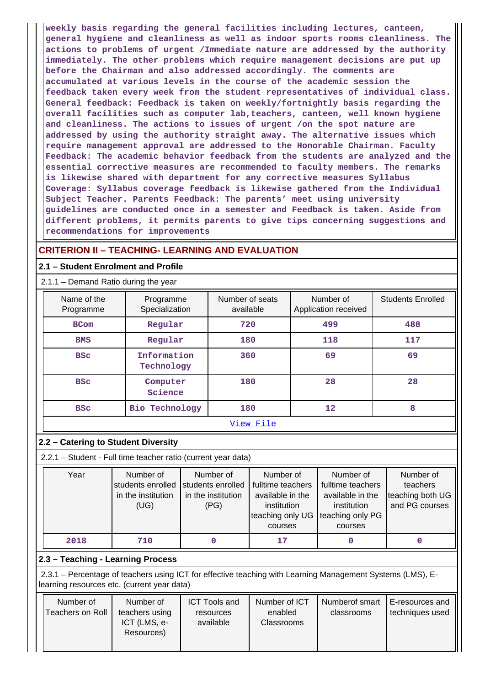**weekly basis regarding the general facilities including lectures, canteen, general hygiene and cleanliness as well as indoor sports rooms cleanliness. The actions to problems of urgent /Immediate nature are addressed by the authority immediately. The other problems which require management decisions are put up before the Chairman and also addressed accordingly. The comments are accumulated at various levels in the course of the academic session the feedback taken every week from the student representatives of individual class. General feedback: Feedback is taken on weekly/fortnightly basis regarding the overall facilities such as computer lab,teachers, canteen, well known hygiene and cleanliness. The actions to issues of urgent /on the spot nature are addressed by using the authority straight away. The alternative issues which require management approval are addressed to the Honorable Chairman. Faculty Feedback: The academic behavior feedback from the students are analyzed and the essential corrective measures are recommended to faculty members. The remarks is likewise shared with department for any corrective measures Syllabus Coverage: Syllabus coverage feedback is likewise gathered from the Individual Subject Teacher. Parents Feedback: The parents' meet using university guidelines are conducted once in a semester and Feedback is taken. Aside from different problems, it permits parents to give tips concerning suggestions and recommendations for improvements**

## **CRITERION II – TEACHING- LEARNING AND EVALUATION**

## **2.1 – Student Enrolment and Profile**

## 2.1.1 – Demand Ratio during the year

| Name of the<br>Programme | Programme<br>Specialization | Number of seats<br>available | Number of<br>Application received | <b>Students Enrolled</b> |
|--------------------------|-----------------------------|------------------------------|-----------------------------------|--------------------------|
| <b>BCom</b>              | Regular                     | 720                          | 499                               | 488                      |
| <b>BMS</b>               | Regular                     | 180                          | 118                               | 117                      |
| <b>BSC</b>               | Information<br>Technology   | 360                          | 69                                | 69                       |
| <b>BSC</b>               | Computer<br>Science         | 180                          | 28                                | 28                       |
| <b>BSC</b>               | <b>Bio Technology</b>       | 180                          | $12 \overline{ }$                 | 8                        |
|                          |                             | View File                    |                                   |                          |

## **2.2 – Catering to Student Diversity**

2.2.1 – Student - Full time teacher ratio (current year data)

| Year | Number of<br>students enrolled<br>in the institution<br>(UG) | Number of<br>students enrolled<br>in the institution<br>(PG) | Number of<br>fulltime teachers<br>available in the<br>institution<br>teaching only UG<br>courses | Number of<br>fulltime teachers<br>available in the<br>institution<br>teaching only PG<br>courses | Number of<br>teachers<br>teaching both UG<br>and PG courses |
|------|--------------------------------------------------------------|--------------------------------------------------------------|--------------------------------------------------------------------------------------------------|--------------------------------------------------------------------------------------------------|-------------------------------------------------------------|
| 2018 | 710                                                          |                                                              | 17                                                                                               |                                                                                                  |                                                             |

## **2.3 – Teaching - Learning Process**

 2.3.1 – Percentage of teachers using ICT for effective teaching with Learning Management Systems (LMS), Elearning resources etc. (current year data)

| Number of<br>Teachers on Roll | Number of<br>teachers using<br>ICT (LMS, e-<br>Resources) | <b>ICT Tools and</b><br>resources<br>available | Number of ICT<br>enabled<br><b>Classrooms</b> | Numberof smart<br>classrooms | E-resources and<br>techniques used |
|-------------------------------|-----------------------------------------------------------|------------------------------------------------|-----------------------------------------------|------------------------------|------------------------------------|
|                               |                                                           |                                                |                                               |                              |                                    |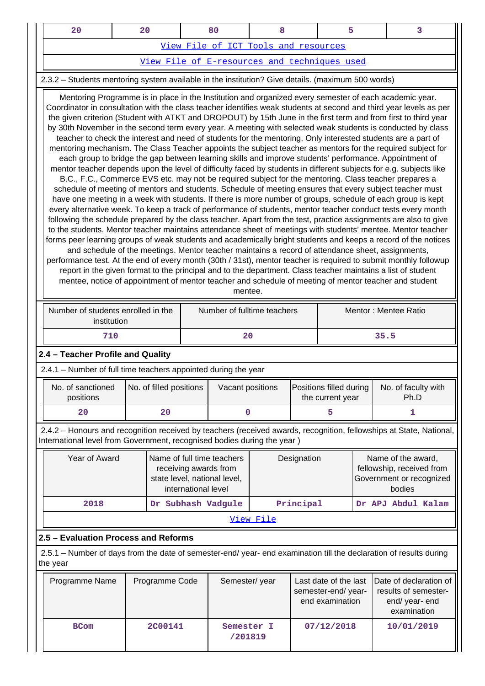| 20                                           |  |  |  |  |  |  |  |  |
|----------------------------------------------|--|--|--|--|--|--|--|--|
| View File of ICT Tools and resources         |  |  |  |  |  |  |  |  |
| View File of E-resources and techniques used |  |  |  |  |  |  |  |  |

## 2.3.2 – Students mentoring system available in the institution? Give details. (maximum 500 words)

 Mentoring Programme is in place in the Institution and organized every semester of each academic year. Coordinator in consultation with the class teacher identifies weak students at second and third year levels as per the given criterion (Student with ATKT and DROPOUT) by 15th June in the first term and from first to third year by 30th November in the second term every year. A meeting with selected weak students is conducted by class teacher to check the interest and need of students for the mentoring. Only interested students are a part of mentoring mechanism. The Class Teacher appoints the subject teacher as mentors for the required subject for each group to bridge the gap between learning skills and improve students' performance. Appointment of mentor teacher depends upon the level of difficulty faced by students in different subjects for e.g. subjects like B.C., F.C., Commerce EVS etc. may not be required subject for the mentoring. Class teacher prepares a schedule of meeting of mentors and students. Schedule of meeting ensures that every subject teacher must have one meeting in a week with students. If there is more number of groups, schedule of each group is kept every alternative week. To keep a track of performance of students, mentor teacher conduct tests every month following the schedule prepared by the class teacher. Apart from the test, practice assignments are also to give to the students. Mentor teacher maintains attendance sheet of meetings with students' mentee. Mentor teacher forms peer learning groups of weak students and academically bright students and keeps a record of the notices and schedule of the meetings. Mentor teacher maintains a record of attendance sheet, assignments, performance test. At the end of every month (30th / 31st), mentor teacher is required to submit monthly followup report in the given format to the principal and to the department. Class teacher maintains a list of student mentee, notice of appointment of mentor teacher and schedule of meeting of mentor teacher and student

| mentee. |  |  |
|---------|--|--|
|         |  |  |

| Number of students enrolled in the<br>institution | Number of fulltime teachers | Mentor: Mentee Ratio |
|---------------------------------------------------|-----------------------------|----------------------|
| 710                                               | 20                          | 35.5                 |

## **2.4 – Teacher Profile and Quality**

2.4.1 – Number of full time teachers appointed during the year

| No. of sanctioned<br>positions | No. of filled positions | Vacant positions | <b>Positions filled during</b><br>the current year | No. of faculty with<br>Ph.D |
|--------------------------------|-------------------------|------------------|----------------------------------------------------|-----------------------------|
| 20                             | 20                      |                  |                                                    |                             |

 2.4.2 – Honours and recognition received by teachers (received awards, recognition, fellowships at State, National, International level from Government, recognised bodies during the year )

| Year of Award | Name of full time teachers<br>receiving awards from<br>state level, national level,<br>international level | Designation        | Name of the award,<br>fellowship, received from<br>Government or recognized<br>bodies |  |  |  |  |  |
|---------------|------------------------------------------------------------------------------------------------------------|--------------------|---------------------------------------------------------------------------------------|--|--|--|--|--|
| 2018          | Principal                                                                                                  | Dr APJ Abdul Kalam |                                                                                       |  |  |  |  |  |
| View File     |                                                                                                            |                    |                                                                                       |  |  |  |  |  |

## **2.5 – Evaluation Process and Reforms**

 2.5.1 – Number of days from the date of semester-end/ year- end examination till the declaration of results during the year

| Programme Name | Programme Code | Semester/year         | Last date of the last<br>semester-end/year-<br>end examination | Date of declaration of<br>results of semester-<br>end/year-end<br>examination |
|----------------|----------------|-----------------------|----------------------------------------------------------------|-------------------------------------------------------------------------------|
| <b>BCom</b>    | <b>2C00141</b> | Semester I<br>/201819 | 07/12/2018                                                     | 10/01/2019                                                                    |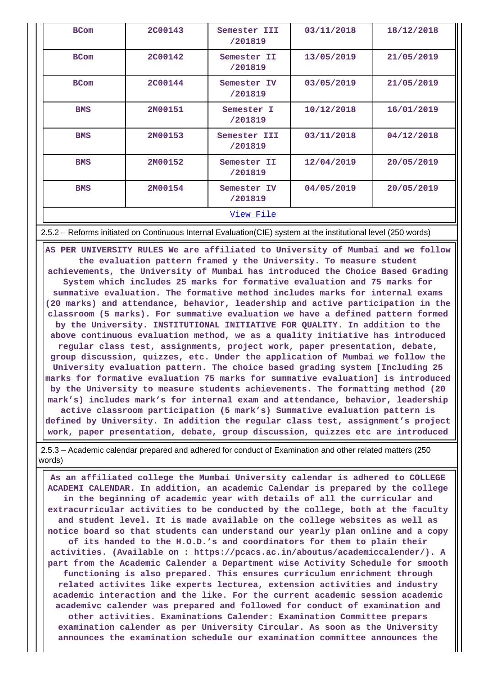| <b>BCom</b>      | <b>2C00143</b> | Semester III<br>/201819 | 03/11/2018 | 18/12/2018 |  |  |  |
|------------------|----------------|-------------------------|------------|------------|--|--|--|
| <b>BCom</b>      | <b>2C00142</b> | Semester II<br>/201819  | 13/05/2019 | 21/05/2019 |  |  |  |
| <b>BCom</b>      | <b>2C00144</b> | Semester IV<br>/201819  | 03/05/2019 | 21/05/2019 |  |  |  |
| <b>BMS</b>       | 2M00151        | Semester I<br>/201819   | 10/12/2018 | 16/01/2019 |  |  |  |
| <b>BMS</b>       | 2M00153        | Semester III<br>/201819 | 03/11/2018 | 04/12/2018 |  |  |  |
| <b>BMS</b>       | 2M00152        | Semester II<br>/201819  | 12/04/2019 | 20/05/2019 |  |  |  |
| <b>BMS</b>       | 2M00154        | Semester IV<br>/201819  | 04/05/2019 | 20/05/2019 |  |  |  |
| <u>View File</u> |                |                         |            |            |  |  |  |

2.5.2 – Reforms initiated on Continuous Internal Evaluation(CIE) system at the institutional level (250 words)

 **AS PER UNIVERSITY RULES We are affiliated to University of Mumbai and we follow the evaluation pattern framed y the University. To measure student achievements, the University of Mumbai has introduced the Choice Based Grading System which includes 25 marks for formative evaluation and 75 marks for summative evaluation. The formative method includes marks for internal exams (20 marks) and attendance, behavior, leadership and active participation in the classroom (5 marks). For summative evaluation we have a defined pattern formed by the University. INSTITUTIONAL INITIATIVE FOR QUALITY. In addition to the above continuous evaluation method, we as a quality initiative has introduced regular class test, assignments, project work, paper presentation, debate, group discussion, quizzes, etc. Under the application of Mumbai we follow the University evaluation pattern. The choice based grading system [Including 25 marks for formative evaluation 75 marks for summative evaluation] is introduced by the University to measure students achievements. The formatting method (20 mark's) includes mark's for internal exam and attendance, behavior, leadership active classroom participation (5 mark's) Summative evaluation pattern is defined by University. In addition the regular class test, assignment's project work, paper presentation, debate, group discussion, quizzes etc are introduced**

 2.5.3 – Academic calendar prepared and adhered for conduct of Examination and other related matters (250 words)

 **As an affiliated college the Mumbai University calendar is adhered to COLLEGE ACADEMI CALENDAR. In addition, an academic Calendar is prepared by the college in the beginning of academic year with details of all the curricular and extracurricular activities to be conducted by the college, both at the faculty and student level. It is made available on the college websites as well as notice board so that students can understand our yearly plan online and a copy of its handed to the H.O.D.'s and coordinators for them to plain their activities. (Available on : https://pcacs.ac.in/aboutus/academiccalender/). A part from the Academic Calender a Department wise Activity Schedule for smooth functioning is also prepared. This ensures curriculum enrichment through related activites like experts lecturea, extension activities and industry academic interaction and the like. For the current academic session academic academivc calender was prepared and followed for conduct of examination and other activities. Examinations Calender: Examination Committee prepars examination calender as per University Circular. As soon as the University announces the examination schedule our examination committee announces the**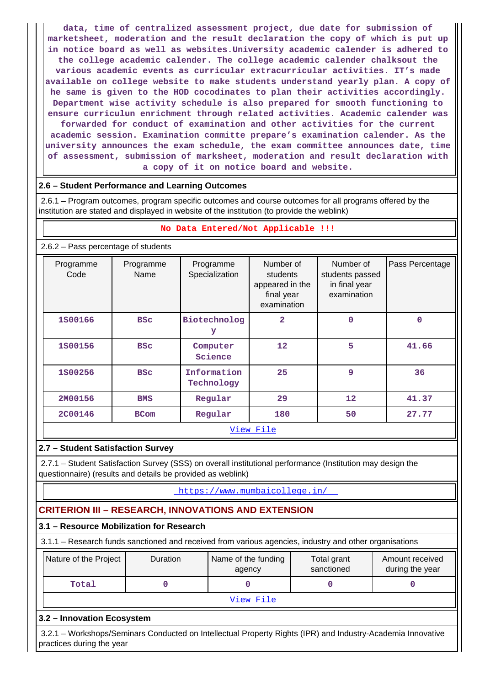**data, time of centralized assessment project, due date for submission of marketsheet, moderation and the result declaration the copy of which is put up in notice board as well as websites.University academic calender is adhered to the college academic calender. The college academic calender chalksout the various academic events as curricular extracurricular activities. IT's made available on college website to make students understand yearly plan. A copy of he same is given to the HOD cocodinates to plan their activities accordingly. Department wise activity schedule is also prepared for smooth functioning to ensure curriculun enrichment through related activities. Academic calender was forwarded for conduct of examination and other activities for the current academic session. Examination committe prepare's examination calender. As the university announces the exam schedule, the exam committee announces date, time of assessment, submission of marksheet, moderation and result declaration with a copy of it on notice board and website.**

## **2.6 – Student Performance and Learning Outcomes**

 2.6.1 – Program outcomes, program specific outcomes and course outcomes for all programs offered by the institution are stated and displayed in website of the institution (to provide the weblink)

### **No Data Entered/Not Applicable !!!**

### 2.6.2 – Pass percentage of students

| Programme<br>Code | Programme<br>Name | Programme<br>Specialization | Number of<br>students<br>appeared in the<br>final year<br>examination | Number of<br>students passed<br>in final year<br>examination | Pass Percentage |  |  |  |  |  |
|-------------------|-------------------|-----------------------------|-----------------------------------------------------------------------|--------------------------------------------------------------|-----------------|--|--|--|--|--|
| 1S00166           | <b>BSC</b>        | Biotechnolog<br>У           | 2                                                                     | $\mathbf 0$                                                  | 0               |  |  |  |  |  |
| 1800156           | <b>BSC</b>        | Computer<br>Science         | $12 \overline{ }$                                                     | 5                                                            | 41.66           |  |  |  |  |  |
| 1500256           | <b>BSC</b>        | Information<br>Technology   | 25                                                                    | 9                                                            | 36              |  |  |  |  |  |
| 2M00156           | <b>BMS</b>        | Regular                     | 29                                                                    | 12                                                           | 41.37           |  |  |  |  |  |
| <b>2C00146</b>    | <b>BCom</b>       | Regular                     | 180                                                                   | 50                                                           | 27.77           |  |  |  |  |  |
|                   | <u>View File</u>  |                             |                                                                       |                                                              |                 |  |  |  |  |  |

## **2.7 – Student Satisfaction Survey**

 2.7.1 – Student Satisfaction Survey (SSS) on overall institutional performance (Institution may design the questionnaire) (results and details be provided as weblink)

<https://www.mumbaicollege.in/>

## **CRITERION III – RESEARCH, INNOVATIONS AND EXTENSION**

## **3.1 – Resource Mobilization for Research**

3.1.1 – Research funds sanctioned and received from various agencies, industry and other organisations

| Nature of the Project | <b>Duration</b> | Name of the funding<br>agency | Total grant<br>sanctioned | Amount received<br>during the year |  |  |  |  |  |
|-----------------------|-----------------|-------------------------------|---------------------------|------------------------------------|--|--|--|--|--|
| Total                 |                 |                               |                           |                                    |  |  |  |  |  |
| View File             |                 |                               |                           |                                    |  |  |  |  |  |

## **3.2 – Innovation Ecosystem**

 3.2.1 – Workshops/Seminars Conducted on Intellectual Property Rights (IPR) and Industry-Academia Innovative practices during the year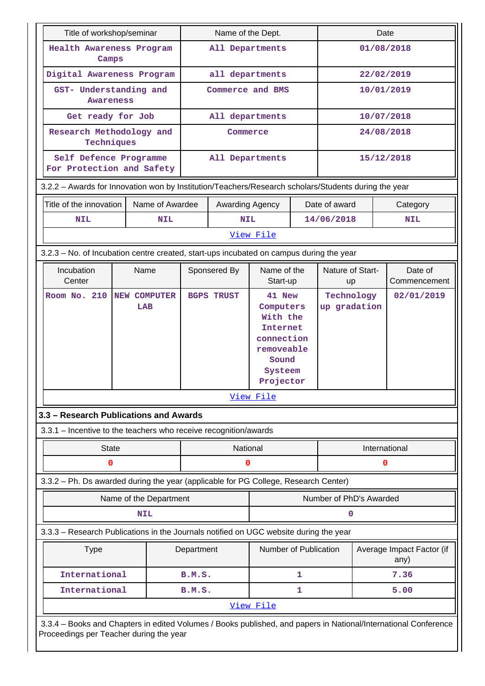| Title of workshop/seminar |                                                                                         |              | Name of the Dept.                                                                                    |                 |                   | Date                                                                                                     |   |                               |            |                                                                                                                 |
|---------------------------|-----------------------------------------------------------------------------------------|--------------|------------------------------------------------------------------------------------------------------|-----------------|-------------------|----------------------------------------------------------------------------------------------------------|---|-------------------------------|------------|-----------------------------------------------------------------------------------------------------------------|
|                           | Health Awareness Program<br>Camps                                                       |              |                                                                                                      | All Departments |                   |                                                                                                          |   |                               | 01/08/2018 |                                                                                                                 |
|                           | Digital Awareness Program                                                               |              |                                                                                                      |                 | all departments   |                                                                                                          |   | 22/02/2019                    |            |                                                                                                                 |
|                           | <b>Awareness</b>                                                                        |              | GST- Understanding and                                                                               |                 | Commerce and BMS  |                                                                                                          |   |                               | 10/01/2019 |                                                                                                                 |
|                           |                                                                                         |              | Get ready for Job                                                                                    |                 | All departments   |                                                                                                          |   |                               |            | 10/07/2018                                                                                                      |
|                           | Techniques                                                                              |              | Research Methodology and                                                                             |                 | Commerce          |                                                                                                          |   |                               |            | 24/08/2018                                                                                                      |
|                           |                                                                                         |              | Self Defence Programme<br>For Protection and Safety                                                  |                 | All Departments   |                                                                                                          |   |                               |            | 15/12/2018                                                                                                      |
|                           |                                                                                         |              | 3.2.2 - Awards for Innovation won by Institution/Teachers/Research scholars/Students during the year |                 |                   |                                                                                                          |   |                               |            |                                                                                                                 |
| Title of the innovation   |                                                                                         |              | Name of Awardee                                                                                      |                 | Awarding Agency   |                                                                                                          |   | Date of award                 |            | Category                                                                                                        |
| NIL                       |                                                                                         |              | NIL                                                                                                  |                 | <b>NIL</b>        |                                                                                                          |   | 14/06/2018                    |            | <b>NIL</b>                                                                                                      |
|                           |                                                                                         |              |                                                                                                      |                 |                   | View File                                                                                                |   |                               |            |                                                                                                                 |
|                           | 3.2.3 – No. of Incubation centre created, start-ups incubated on campus during the year |              |                                                                                                      |                 |                   |                                                                                                          |   |                               |            |                                                                                                                 |
| Incubation<br>Center      |                                                                                         |              | Name                                                                                                 |                 | Sponsered By      | Name of the<br>Start-up                                                                                  |   | Nature of Start-<br><b>up</b> |            | Date of<br>Commencement                                                                                         |
| Room No. 210              |                                                                                         |              | NEW COMPUTER<br>LAB                                                                                  |                 | <b>BGPS TRUST</b> | 41 New<br>Computers<br>With the<br>Internet<br>connection<br>removeable<br>Sound<br>Systeem<br>Projector |   | Technology<br>up gradation    |            | 02/01/2019                                                                                                      |
|                           |                                                                                         |              |                                                                                                      |                 |                   | View File                                                                                                |   |                               |            |                                                                                                                 |
|                           |                                                                                         |              | 3.3 - Research Publications and Awards                                                               |                 |                   |                                                                                                          |   |                               |            |                                                                                                                 |
|                           |                                                                                         |              | 3.3.1 - Incentive to the teachers who receive recognition/awards                                     |                 |                   |                                                                                                          |   |                               |            |                                                                                                                 |
|                           |                                                                                         | <b>State</b> |                                                                                                      |                 | National          |                                                                                                          |   | International                 |            |                                                                                                                 |
|                           |                                                                                         | 0            |                                                                                                      |                 | 0                 |                                                                                                          |   |                               | 0          |                                                                                                                 |
|                           |                                                                                         |              | 3.3.2 - Ph. Ds awarded during the year (applicable for PG College, Research Center)                  |                 |                   |                                                                                                          |   |                               |            |                                                                                                                 |
|                           |                                                                                         |              | Name of the Department                                                                               |                 |                   |                                                                                                          |   | Number of PhD's Awarded       |            |                                                                                                                 |
|                           |                                                                                         |              | <b>NIL</b>                                                                                           |                 |                   |                                                                                                          |   | 0                             |            |                                                                                                                 |
|                           |                                                                                         |              | 3.3.3 - Research Publications in the Journals notified on UGC website during the year                |                 |                   |                                                                                                          |   |                               |            |                                                                                                                 |
|                           | <b>Type</b>                                                                             |              |                                                                                                      | Department      |                   | Number of Publication                                                                                    |   |                               |            | Average Impact Factor (if<br>any)                                                                               |
|                           | International                                                                           |              |                                                                                                      | B.M.S.          |                   |                                                                                                          | 1 |                               |            | 7.36                                                                                                            |
|                           | International                                                                           |              |                                                                                                      | B.M.S.          |                   |                                                                                                          | 1 |                               |            | 5.00                                                                                                            |
|                           |                                                                                         |              |                                                                                                      |                 |                   | View File                                                                                                |   |                               |            |                                                                                                                 |
|                           |                                                                                         |              | Proceedings per Teacher during the year                                                              |                 |                   |                                                                                                          |   |                               |            | 3.3.4 - Books and Chapters in edited Volumes / Books published, and papers in National/International Conference |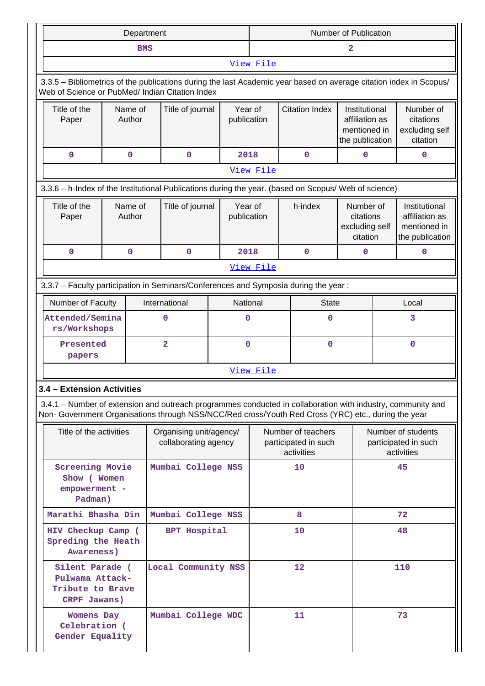|           | Department                                                                                                                                                                                                         |  |                   |                                                 |                                            | <b>Number of Publication</b>                             |                       |                                                                    |                                                          |                                                                    |
|-----------|--------------------------------------------------------------------------------------------------------------------------------------------------------------------------------------------------------------------|--|-------------------|-------------------------------------------------|--------------------------------------------|----------------------------------------------------------|-----------------------|--------------------------------------------------------------------|----------------------------------------------------------|--------------------------------------------------------------------|
|           | <b>BMS</b>                                                                                                                                                                                                         |  |                   |                                                 |                                            | $\mathbf{2}$                                             |                       |                                                                    |                                                          |                                                                    |
| View File |                                                                                                                                                                                                                    |  |                   |                                                 |                                            |                                                          |                       |                                                                    |                                                          |                                                                    |
|           | 3.3.5 - Bibliometrics of the publications during the last Academic year based on average citation index in Scopus/<br>Web of Science or PubMed/ Indian Citation Index                                              |  |                   |                                                 |                                            |                                                          |                       |                                                                    |                                                          |                                                                    |
|           | Title of the<br>Paper                                                                                                                                                                                              |  | Name of<br>Author |                                                 | Title of journal<br>Year of<br>publication |                                                          | <b>Citation Index</b> | Institutional<br>affiliation as<br>mentioned in<br>the publication |                                                          | Number of<br>citations<br>excluding self<br>citation               |
|           | 0                                                                                                                                                                                                                  |  | $\mathbf 0$       | 0                                               | 2018                                       |                                                          | 0                     | $\mathbf 0$                                                        |                                                          | 0                                                                  |
|           |                                                                                                                                                                                                                    |  |                   |                                                 |                                            | View File                                                |                       |                                                                    |                                                          |                                                                    |
|           | 3.3.6 - h-Index of the Institutional Publications during the year. (based on Scopus/ Web of science)                                                                                                               |  |                   |                                                 |                                            |                                                          |                       |                                                                    |                                                          |                                                                    |
|           | Title of the<br>Paper                                                                                                                                                                                              |  | Name of<br>Author | Title of journal                                | publication                                | Year of                                                  | h-index               | Number of<br>citations<br>excluding self<br>citation               |                                                          | Institutional<br>affiliation as<br>mentioned in<br>the publication |
|           | 0                                                                                                                                                                                                                  |  | $\mathbf 0$       | $\mathbf 0$                                     | 2018                                       |                                                          | 0                     | $\mathbf 0$                                                        |                                                          | 0                                                                  |
|           |                                                                                                                                                                                                                    |  |                   |                                                 |                                            | View File                                                |                       |                                                                    |                                                          |                                                                    |
|           | 3.3.7 - Faculty participation in Seminars/Conferences and Symposia during the year:                                                                                                                                |  |                   |                                                 |                                            |                                                          |                       |                                                                    |                                                          |                                                                    |
|           | Number of Faculty                                                                                                                                                                                                  |  |                   | International                                   | National                                   |                                                          | <b>State</b>          |                                                                    | Local                                                    |                                                                    |
|           | Attended/Semina<br>rs/Workshops                                                                                                                                                                                    |  |                   | $\mathbf 0$                                     | 0                                          |                                                          | $\mathbf 0$           |                                                                    | 3                                                        |                                                                    |
|           | Presented<br>papers                                                                                                                                                                                                |  |                   | 2                                               | 0                                          |                                                          | $\mathbf 0$           |                                                                    | 0                                                        |                                                                    |
|           |                                                                                                                                                                                                                    |  |                   |                                                 |                                            | View File                                                |                       |                                                                    |                                                          |                                                                    |
|           | 3.4 - Extension Activities                                                                                                                                                                                         |  |                   |                                                 |                                            |                                                          |                       |                                                                    |                                                          |                                                                    |
|           | 3.4.1 – Number of extension and outreach programmes conducted in collaboration with industry, community and<br>Non- Government Organisations through NSS/NCC/Red cross/Youth Red Cross (YRC) etc., during the year |  |                   |                                                 |                                            |                                                          |                       |                                                                    |                                                          |                                                                    |
|           | Title of the activities                                                                                                                                                                                            |  |                   | Organising unit/agency/<br>collaborating agency |                                            | Number of teachers<br>participated in such<br>activities |                       |                                                                    | Number of students<br>participated in such<br>activities |                                                                    |
|           | <b>Screening Movie</b><br>Show (Women<br>empowerment -<br>Padman)                                                                                                                                                  |  |                   | Mumbai College NSS                              |                                            | 10                                                       |                       |                                                                    |                                                          | 45                                                                 |
|           | Marathi Bhasha Din                                                                                                                                                                                                 |  |                   | Mumbai College NSS                              |                                            |                                                          | 8                     |                                                                    |                                                          | 72                                                                 |
|           | HIV Checkup Camp (<br>Spreding the Heath<br>Awareness)                                                                                                                                                             |  |                   | <b>BPT Hospital</b>                             |                                            |                                                          | 10                    |                                                                    |                                                          | 48                                                                 |
|           | Silent Parade (<br>Pulwama Attack-<br>Tribute to Brave<br>CRPF Jawans)                                                                                                                                             |  |                   | Local Community NSS                             |                                            |                                                          | $12 \,$               |                                                                    |                                                          | 110                                                                |
|           | Womens Day<br>Celebration (<br>Gender Equality                                                                                                                                                                     |  |                   | Mumbai College WDC                              |                                            |                                                          | 11                    |                                                                    |                                                          | 73                                                                 |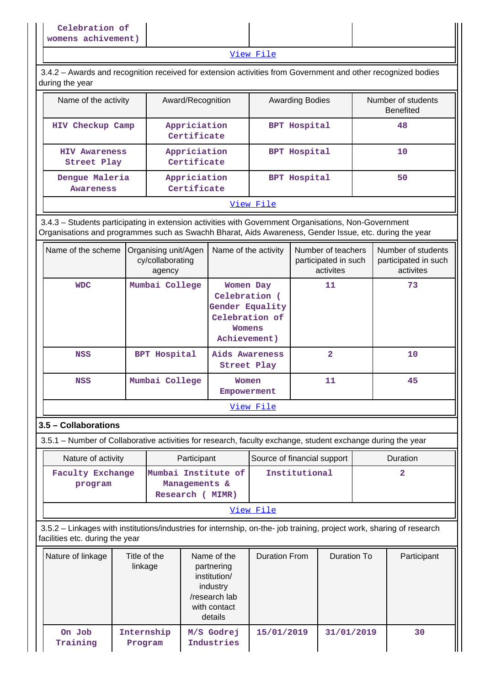[View File](https://assessmentonline.naac.gov.in/public/Postacc/Extension/4808_Extension_1584167642.xlsx)

 3.4.2 – Awards and recognition received for extension activities from Government and other recognized bodies during the year

| Name of the activity                                              | Award/Recognition           | <b>Awarding Bodies</b> | Number of students<br><b>Benefited</b> |
|-------------------------------------------------------------------|-----------------------------|------------------------|----------------------------------------|
| HIV Checkup Camp                                                  | Appriciation<br>Certificate | <b>BPT Hospital</b>    | 48                                     |
| <b>HIV Awareness</b><br>Street Play                               | Appriciation<br>Certificate |                        | 10                                     |
| Appriciation<br>Dengue Maleria<br>Certificate<br><b>Awareness</b> |                             | <b>BPT Hospital</b>    | 50                                     |

### [View File](https://assessmentonline.naac.gov.in/public/Postacc/Awards_for_extension/4808_Awards_for_extension_1584078949.xlsx)

 3.4.3 – Students participating in extension activities with Government Organisations, Non-Government Organisations and programmes such as Swachh Bharat, Aids Awareness, Gender Issue, etc. during the year

| Name of the scheme | Organising unit/Agen<br>cy/collaborating<br>agency | Name of the activity                                                                             | Number of teachers<br>participated in such<br>activites | Number of students<br>participated in such<br>activites |
|--------------------|----------------------------------------------------|--------------------------------------------------------------------------------------------------|---------------------------------------------------------|---------------------------------------------------------|
| <b>WDC</b>         | Mumbai College                                     | Women Day<br>Celebration (<br>Gender Equality<br>Celebration of<br><b>Womens</b><br>Achievement) | 11                                                      | 73                                                      |
| <b>NSS</b>         | <b>BPT Hospital</b>                                | Aids Awareness<br>Street Play                                                                    | 2                                                       | 10                                                      |
| <b>NSS</b>         | Mumbai College                                     | Women<br>Empowerment                                                                             | 11                                                      | 45                                                      |
|                    |                                                    | View File                                                                                        |                                                         |                                                         |

## **3.5 – Collaborations**

3.5.1 – Number of Collaborative activities for research, faculty exchange, student exchange during the year

| Nature of activity          | Participant                                                 | Source of financial support | <b>Duration</b> |  |  |
|-----------------------------|-------------------------------------------------------------|-----------------------------|-----------------|--|--|
| Faculty Exchange<br>program | Mumbai Institute of<br>Managements &<br>Research (<br>MIMR) | Institutional               |                 |  |  |
|                             |                                                             |                             |                 |  |  |

[View File](https://assessmentonline.naac.gov.in/public/Postacc/Collab_activities/4808_Collab_activities_1584158169.xlsx)

 3.5.2 – Linkages with institutions/industries for internship, on-the- job training, project work, sharing of research facilities etc. during the year

| Nature of linkage  | Title of the<br>linkage | Name of the<br>partnering<br>institution/<br>industry<br>/research lab<br>with contact<br>details | Duration From | Duration To | Participant |
|--------------------|-------------------------|---------------------------------------------------------------------------------------------------|---------------|-------------|-------------|
| On Job<br>Training | Internship<br>Program   | M/S Godrej<br>Industries                                                                          | 15/01/2019    | 31/01/2019  | 30          |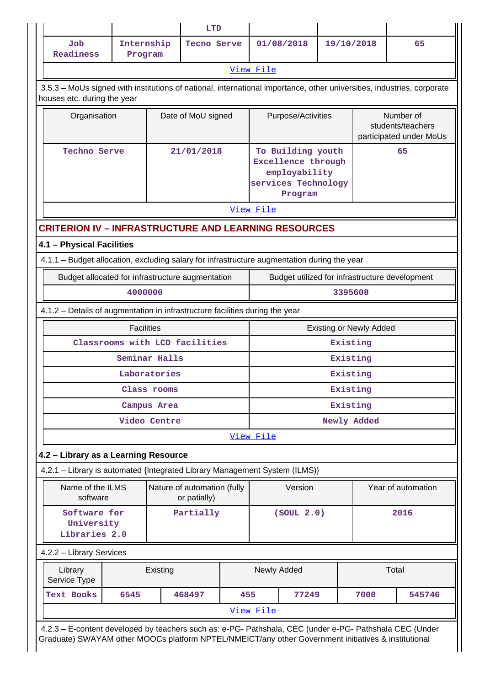|                                                                                                                                                                                                                |                       |               | <b>LTD</b>                                  |                                                                                            |                                                |                    |                                |                                                           |        |
|----------------------------------------------------------------------------------------------------------------------------------------------------------------------------------------------------------------|-----------------------|---------------|---------------------------------------------|--------------------------------------------------------------------------------------------|------------------------------------------------|--------------------|--------------------------------|-----------------------------------------------------------|--------|
| Job<br><b>Readiness</b>                                                                                                                                                                                        | Internship<br>Program |               | Tecno Serve                                 |                                                                                            | 01/08/2018                                     |                    | 19/10/2018                     |                                                           | 65     |
| View File                                                                                                                                                                                                      |                       |               |                                             |                                                                                            |                                                |                    |                                |                                                           |        |
| 3.5.3 - MoUs signed with institutions of national, international importance, other universities, industries, corporate<br>houses etc. during the year                                                          |                       |               |                                             |                                                                                            |                                                |                    |                                |                                                           |        |
| Organisation                                                                                                                                                                                                   |                       |               | Date of MoU signed                          |                                                                                            |                                                | Purpose/Activities |                                | Number of<br>students/teachers<br>participated under MoUs |        |
| <b>Techno Serve</b>                                                                                                                                                                                            |                       | 21/01/2018    | View File                                   | To Building youth<br>Excellence through<br>employability<br>services Technology<br>Program |                                                | 65                 |                                |                                                           |        |
| <b>CRITERION IV - INFRASTRUCTURE AND LEARNING RESOURCES</b>                                                                                                                                                    |                       |               |                                             |                                                                                            |                                                |                    |                                |                                                           |        |
| 4.1 - Physical Facilities                                                                                                                                                                                      |                       |               |                                             |                                                                                            |                                                |                    |                                |                                                           |        |
| 4.1.1 – Budget allocation, excluding salary for infrastructure augmentation during the year                                                                                                                    |                       |               |                                             |                                                                                            |                                                |                    |                                |                                                           |        |
| Budget allocated for infrastructure augmentation                                                                                                                                                               |                       |               |                                             |                                                                                            | Budget utilized for infrastructure development |                    |                                |                                                           |        |
|                                                                                                                                                                                                                | 4000000               |               |                                             |                                                                                            | 3395608                                        |                    |                                |                                                           |        |
| 4.1.2 - Details of augmentation in infrastructure facilities during the year                                                                                                                                   |                       |               |                                             |                                                                                            |                                                |                    |                                |                                                           |        |
|                                                                                                                                                                                                                | <b>Facilities</b>     |               |                                             |                                                                                            |                                                |                    | <b>Existing or Newly Added</b> |                                                           |        |
|                                                                                                                                                                                                                |                       |               | Classrooms with LCD facilities              |                                                                                            |                                                |                    | Existing                       |                                                           |        |
|                                                                                                                                                                                                                |                       | Seminar Halls |                                             |                                                                                            |                                                |                    | Existing                       |                                                           |        |
|                                                                                                                                                                                                                |                       | Laboratories  |                                             |                                                                                            |                                                |                    | Existing                       |                                                           |        |
|                                                                                                                                                                                                                |                       | Class rooms   |                                             |                                                                                            | Existing                                       |                    |                                |                                                           |        |
|                                                                                                                                                                                                                |                       | Campus Area   |                                             |                                                                                            |                                                |                    | Existing                       |                                                           |        |
|                                                                                                                                                                                                                |                       | Video Centre  |                                             |                                                                                            | Newly Added<br>View File                       |                    |                                |                                                           |        |
|                                                                                                                                                                                                                |                       |               |                                             |                                                                                            |                                                |                    |                                |                                                           |        |
| 4.2 - Library as a Learning Resource<br>4.2.1 - Library is automated {Integrated Library Management System (ILMS)}                                                                                             |                       |               |                                             |                                                                                            |                                                |                    |                                |                                                           |        |
| Name of the ILMS                                                                                                                                                                                               |                       |               |                                             |                                                                                            |                                                |                    |                                |                                                           |        |
| software                                                                                                                                                                                                       |                       |               | Nature of automation (fully<br>or patially) |                                                                                            | Version                                        |                    | Year of automation             |                                                           |        |
| Software for<br>University<br>Libraries 2.0                                                                                                                                                                    |                       |               | Partially                                   |                                                                                            | (SOUT 2.0)                                     |                    |                                |                                                           | 2016   |
| 4.2.2 - Library Services                                                                                                                                                                                       |                       |               |                                             |                                                                                            |                                                |                    |                                |                                                           |        |
| Library<br>Service Type                                                                                                                                                                                        |                       | Existing      |                                             |                                                                                            | Newly Added                                    |                    |                                |                                                           | Total  |
| Text Books                                                                                                                                                                                                     | 6545                  |               | 468497                                      | 455                                                                                        |                                                | 77249              |                                | 7000                                                      | 545746 |
|                                                                                                                                                                                                                |                       |               |                                             |                                                                                            | View File                                      |                    |                                |                                                           |        |
| 4.2.3 - E-content developed by teachers such as: e-PG- Pathshala, CEC (under e-PG- Pathshala CEC (Under<br>Graduate) SWAYAM other MOOCs platform NPTEL/NMEICT/any other Government initiatives & institutional |                       |               |                                             |                                                                                            |                                                |                    |                                |                                                           |        |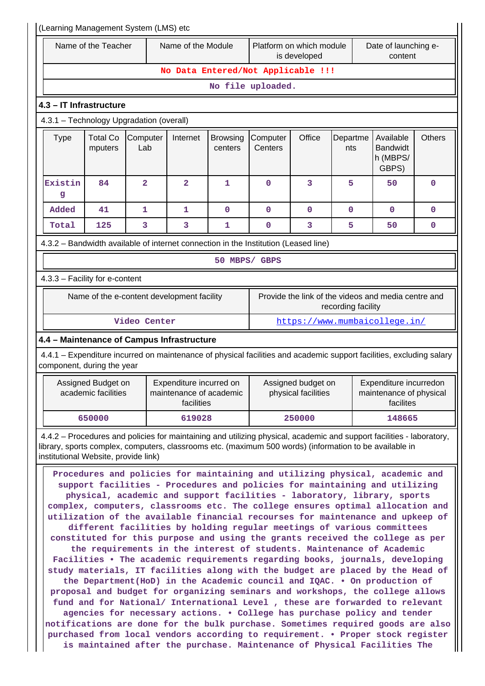| (Learning Management System (LMS) etc    |                                                                                                                                                                                                                                                                                                                                                                                                                                                                                                                                                                                                                                                                                                                                                                                                                                                                                                                                                                                                                                                                                                                                                                                                                                                                                                                                                                                                                                  |                         |                                                                                                                                                                                                                                  |                                                                             |                     |                                           |                    |                                                                |               |
|------------------------------------------|----------------------------------------------------------------------------------------------------------------------------------------------------------------------------------------------------------------------------------------------------------------------------------------------------------------------------------------------------------------------------------------------------------------------------------------------------------------------------------------------------------------------------------------------------------------------------------------------------------------------------------------------------------------------------------------------------------------------------------------------------------------------------------------------------------------------------------------------------------------------------------------------------------------------------------------------------------------------------------------------------------------------------------------------------------------------------------------------------------------------------------------------------------------------------------------------------------------------------------------------------------------------------------------------------------------------------------------------------------------------------------------------------------------------------------|-------------------------|----------------------------------------------------------------------------------------------------------------------------------------------------------------------------------------------------------------------------------|-----------------------------------------------------------------------------|---------------------|-------------------------------------------|--------------------|----------------------------------------------------------------|---------------|
|                                          | Name of the Module<br>Name of the Teacher                                                                                                                                                                                                                                                                                                                                                                                                                                                                                                                                                                                                                                                                                                                                                                                                                                                                                                                                                                                                                                                                                                                                                                                                                                                                                                                                                                                        |                         |                                                                                                                                                                                                                                  | Platform on which module<br>Date of launching e-<br>is developed<br>content |                     |                                           |                    |                                                                |               |
|                                          | No Data Entered/Not Applicable !!!                                                                                                                                                                                                                                                                                                                                                                                                                                                                                                                                                                                                                                                                                                                                                                                                                                                                                                                                                                                                                                                                                                                                                                                                                                                                                                                                                                                               |                         |                                                                                                                                                                                                                                  |                                                                             |                     |                                           |                    |                                                                |               |
|                                          |                                                                                                                                                                                                                                                                                                                                                                                                                                                                                                                                                                                                                                                                                                                                                                                                                                                                                                                                                                                                                                                                                                                                                                                                                                                                                                                                                                                                                                  |                         |                                                                                                                                                                                                                                  |                                                                             | No file uploaded.   |                                           |                    |                                                                |               |
| 4.3 - IT Infrastructure                  |                                                                                                                                                                                                                                                                                                                                                                                                                                                                                                                                                                                                                                                                                                                                                                                                                                                                                                                                                                                                                                                                                                                                                                                                                                                                                                                                                                                                                                  |                         |                                                                                                                                                                                                                                  |                                                                             |                     |                                           |                    |                                                                |               |
| 4.3.1 - Technology Upgradation (overall) |                                                                                                                                                                                                                                                                                                                                                                                                                                                                                                                                                                                                                                                                                                                                                                                                                                                                                                                                                                                                                                                                                                                                                                                                                                                                                                                                                                                                                                  |                         |                                                                                                                                                                                                                                  |                                                                             |                     |                                           |                    |                                                                |               |
| <b>Type</b>                              | <b>Total Co</b><br>mputers                                                                                                                                                                                                                                                                                                                                                                                                                                                                                                                                                                                                                                                                                                                                                                                                                                                                                                                                                                                                                                                                                                                                                                                                                                                                                                                                                                                                       | Computer<br>Lab         | Internet                                                                                                                                                                                                                         | <b>Browsing</b><br>centers                                                  | Computer<br>Centers | Office                                    | Departme<br>nts    | Available<br><b>Bandwidt</b><br>h (MBPS/<br>GBPS)              | <b>Others</b> |
| Existin<br>g                             | 84                                                                                                                                                                                                                                                                                                                                                                                                                                                                                                                                                                                                                                                                                                                                                                                                                                                                                                                                                                                                                                                                                                                                                                                                                                                                                                                                                                                                                               | $\overline{\mathbf{2}}$ | $\overline{2}$                                                                                                                                                                                                                   | 1                                                                           | $\mathbf 0$         | 3                                         | 5                  | 50                                                             | $\mathbf 0$   |
| Added                                    | 41                                                                                                                                                                                                                                                                                                                                                                                                                                                                                                                                                                                                                                                                                                                                                                                                                                                                                                                                                                                                                                                                                                                                                                                                                                                                                                                                                                                                                               | $\mathbf{1}$            | $\mathbf{1}$                                                                                                                                                                                                                     | $\mathbf{O}$                                                                | $\mathbf 0$         | $\mathbf 0$                               | $\mathbf 0$        | $\mathbf 0$                                                    | $\mathbf 0$   |
| Total                                    | 125                                                                                                                                                                                                                                                                                                                                                                                                                                                                                                                                                                                                                                                                                                                                                                                                                                                                                                                                                                                                                                                                                                                                                                                                                                                                                                                                                                                                                              | 3                       | 3                                                                                                                                                                                                                                | 1                                                                           | $\mathbf 0$         | 3                                         | 5                  | 50                                                             | 0             |
|                                          |                                                                                                                                                                                                                                                                                                                                                                                                                                                                                                                                                                                                                                                                                                                                                                                                                                                                                                                                                                                                                                                                                                                                                                                                                                                                                                                                                                                                                                  |                         | 4.3.2 - Bandwidth available of internet connection in the Institution (Leased line)                                                                                                                                              |                                                                             |                     |                                           |                    |                                                                |               |
|                                          |                                                                                                                                                                                                                                                                                                                                                                                                                                                                                                                                                                                                                                                                                                                                                                                                                                                                                                                                                                                                                                                                                                                                                                                                                                                                                                                                                                                                                                  |                         |                                                                                                                                                                                                                                  |                                                                             | 50 MBPS/ GBPS       |                                           |                    |                                                                |               |
| 4.3.3 - Facility for e-content           |                                                                                                                                                                                                                                                                                                                                                                                                                                                                                                                                                                                                                                                                                                                                                                                                                                                                                                                                                                                                                                                                                                                                                                                                                                                                                                                                                                                                                                  |                         |                                                                                                                                                                                                                                  |                                                                             |                     |                                           |                    |                                                                |               |
|                                          |                                                                                                                                                                                                                                                                                                                                                                                                                                                                                                                                                                                                                                                                                                                                                                                                                                                                                                                                                                                                                                                                                                                                                                                                                                                                                                                                                                                                                                  |                         | Name of the e-content development facility                                                                                                                                                                                       |                                                                             |                     |                                           | recording facility | Provide the link of the videos and media centre and            |               |
|                                          |                                                                                                                                                                                                                                                                                                                                                                                                                                                                                                                                                                                                                                                                                                                                                                                                                                                                                                                                                                                                                                                                                                                                                                                                                                                                                                                                                                                                                                  | Video Center            |                                                                                                                                                                                                                                  |                                                                             |                     |                                           |                    | https://www.mumbaicollege.in/                                  |               |
|                                          |                                                                                                                                                                                                                                                                                                                                                                                                                                                                                                                                                                                                                                                                                                                                                                                                                                                                                                                                                                                                                                                                                                                                                                                                                                                                                                                                                                                                                                  |                         | 4.4 - Maintenance of Campus Infrastructure                                                                                                                                                                                       |                                                                             |                     |                                           |                    |                                                                |               |
| component, during the year               |                                                                                                                                                                                                                                                                                                                                                                                                                                                                                                                                                                                                                                                                                                                                                                                                                                                                                                                                                                                                                                                                                                                                                                                                                                                                                                                                                                                                                                  |                         | 4.4.1 – Expenditure incurred on maintenance of physical facilities and academic support facilities, excluding salary                                                                                                             |                                                                             |                     |                                           |                    |                                                                |               |
|                                          | Assigned Budget on<br>academic facilities                                                                                                                                                                                                                                                                                                                                                                                                                                                                                                                                                                                                                                                                                                                                                                                                                                                                                                                                                                                                                                                                                                                                                                                                                                                                                                                                                                                        |                         | Expenditure incurred on<br>maintenance of academic<br>facilities                                                                                                                                                                 |                                                                             |                     | Assigned budget on<br>physical facilities |                    | Expenditure incurredon<br>maintenance of physical<br>facilites |               |
|                                          | 650000                                                                                                                                                                                                                                                                                                                                                                                                                                                                                                                                                                                                                                                                                                                                                                                                                                                                                                                                                                                                                                                                                                                                                                                                                                                                                                                                                                                                                           |                         | 619028                                                                                                                                                                                                                           |                                                                             |                     | 250000                                    |                    | 148665                                                         |               |
|                                          |                                                                                                                                                                                                                                                                                                                                                                                                                                                                                                                                                                                                                                                                                                                                                                                                                                                                                                                                                                                                                                                                                                                                                                                                                                                                                                                                                                                                                                  |                         | 4.4.2 - Procedures and policies for maintaining and utilizing physical, academic and support facilities - laboratory,<br>library, sports complex, computers, classrooms etc. (maximum 500 words) (information to be available in |                                                                             |                     |                                           |                    |                                                                |               |
|                                          | institutional Website, provide link)<br>Procedures and policies for maintaining and utilizing physical, academic and<br>support facilities - Procedures and policies for maintaining and utilizing<br>physical, academic and support facilities - laboratory, library, sports<br>complex, computers, classrooms etc. The college ensures optimal allocation and<br>utilization of the available financial recourses for maintenance and upkeep of<br>different facilities by holding regular meetings of various committees<br>constituted for this purpose and using the grants received the college as per<br>the requirements in the interest of students. Maintenance of Academic<br>Facilities . The academic requirements regarding books, journals, developing<br>study materials, IT facilities along with the budget are placed by the Head of<br>the Department(HoD) in the Academic council and IQAC. . On production of<br>proposal and budget for organizing seminars and workshops, the college allows<br>fund and for National/ International Level, these are forwarded to relevant<br>agencies for necessary actions. . College has purchase policy and tender<br>notifications are done for the bulk purchase. Sometimes required goods are also<br>purchased from local vendors according to requirement. • Proper stock register<br>is maintained after the purchase. Maintenance of Physical Facilities The |                         |                                                                                                                                                                                                                                  |                                                                             |                     |                                           |                    |                                                                |               |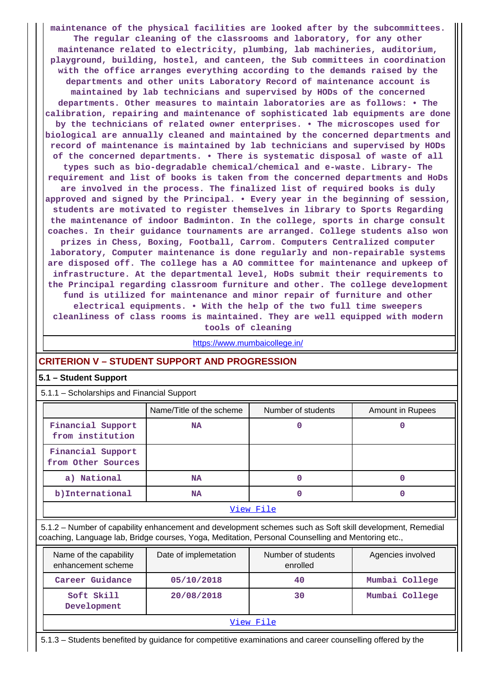**maintenance of the physical facilities are looked after by the subcommittees. The regular cleaning of the classrooms and laboratory, for any other maintenance related to electricity, plumbing, lab machineries, auditorium, playground, building, hostel, and canteen, the Sub committees in coordination with the office arranges everything according to the demands raised by the departments and other units Laboratory Record of maintenance account is maintained by lab technicians and supervised by HODs of the concerned departments. Other measures to maintain laboratories are as follows: • The calibration, repairing and maintenance of sophisticated lab equipments are done by the technicians of related owner enterprises. • The microscopes used for biological are annually cleaned and maintained by the concerned departments and record of maintenance is maintained by lab technicians and supervised by HODs of the concerned departments. • There is systematic disposal of waste of all types such as bio-degradable chemical/chemical and e-waste. Library- The requirement and list of books is taken from the concerned departments and HoDs are involved in the process. The finalized list of required books is duly approved and signed by the Principal. • Every year in the beginning of session, students are motivated to register themselves in library to Sports Regarding the maintenance of indoor Badminton. In the college, sports in charge consult coaches. In their guidance tournaments are arranged. College students also won prizes in Chess, Boxing, Football, Carrom. Computers Centralized computer laboratory, Computer maintenance is done regularly and non-repairable systems are disposed off. The college has a AO committee for maintenance and upkeep of infrastructure. At the departmental level, HoDs submit their requirements to the Principal regarding classroom furniture and other. The college development fund is utilized for maintenance and minor repair of furniture and other electrical equipments. • With the help of the two full time sweepers cleanliness of class rooms is maintained. They are well equipped with modern**

**tools of cleaning**

<https://www.mumbaicollege.in/>

## **CRITERION V – STUDENT SUPPORT AND PROGRESSION**

### **5.1 – Student Support**

5.1.1 – Scholarships and Financial Support

|                                         | Name/Title of the scheme | Number of students | Amount in Rupees |  |  |
|-----------------------------------------|--------------------------|--------------------|------------------|--|--|
| Financial Support<br>from institution   | <b>NA</b>                |                    |                  |  |  |
| Financial Support<br>from Other Sources |                          |                    |                  |  |  |
| a) National                             | <b>NA</b>                | 0                  |                  |  |  |
| b) International                        | <b>NA</b>                | 0                  |                  |  |  |
| View File                               |                          |                    |                  |  |  |

 5.1.2 – Number of capability enhancement and development schemes such as Soft skill development, Remedial coaching, Language lab, Bridge courses, Yoga, Meditation, Personal Counselling and Mentoring etc.,

| Name of the capability<br>enhancement scheme | Date of implemetation | Number of students<br>enrolled | Agencies involved |  |  |
|----------------------------------------------|-----------------------|--------------------------------|-------------------|--|--|
| Career Guidance                              | 05/10/2018            | 40                             | Mumbai College    |  |  |
| Soft Skill<br>Development                    | 20/08/2018            | 30                             | Mumbai College    |  |  |
| View File                                    |                       |                                |                   |  |  |

5.1.3 – Students benefited by guidance for competitive examinations and career counselling offered by the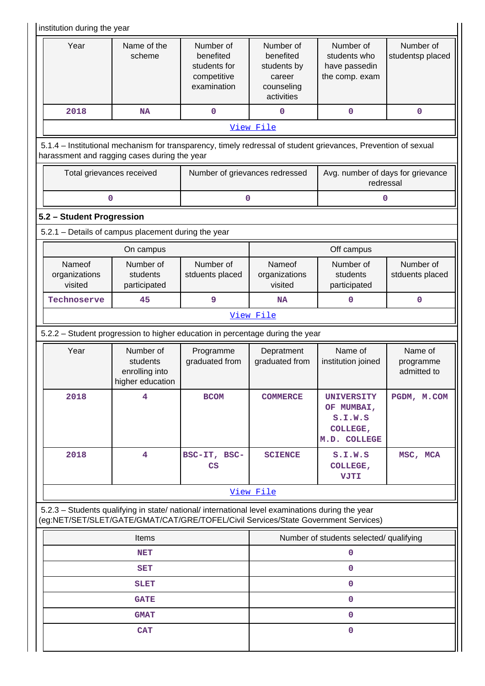|                                                                                                                                                                                        | institution during the year                                 |                                                                      |                                                                             |                                                                 |                                     |  |  |  |
|----------------------------------------------------------------------------------------------------------------------------------------------------------------------------------------|-------------------------------------------------------------|----------------------------------------------------------------------|-----------------------------------------------------------------------------|-----------------------------------------------------------------|-------------------------------------|--|--|--|
| Year                                                                                                                                                                                   | Name of the<br>scheme                                       | Number of<br>benefited<br>students for<br>competitive<br>examination | Number of<br>benefited<br>students by<br>career<br>counseling<br>activities | Number of<br>students who<br>have passedin<br>the comp. exam    | Number of<br>studentsp placed       |  |  |  |
| 2018                                                                                                                                                                                   | <b>NA</b>                                                   | $\mathbf 0$                                                          | $\mathbf 0$                                                                 | 0                                                               | $\mathbf 0$                         |  |  |  |
|                                                                                                                                                                                        |                                                             |                                                                      | View File                                                                   |                                                                 |                                     |  |  |  |
| 5.1.4 - Institutional mechanism for transparency, timely redressal of student grievances, Prevention of sexual<br>harassment and ragging cases during the year                         |                                                             |                                                                      |                                                                             |                                                                 |                                     |  |  |  |
| Total grievances received                                                                                                                                                              |                                                             | Number of grievances redressed                                       |                                                                             | Avg. number of days for grievance<br>redressal                  |                                     |  |  |  |
| 0                                                                                                                                                                                      |                                                             | 0                                                                    |                                                                             | 0                                                               |                                     |  |  |  |
|                                                                                                                                                                                        | 5.2 - Student Progression                                   |                                                                      |                                                                             |                                                                 |                                     |  |  |  |
| 5.2.1 - Details of campus placement during the year                                                                                                                                    |                                                             |                                                                      |                                                                             |                                                                 |                                     |  |  |  |
|                                                                                                                                                                                        | On campus                                                   |                                                                      |                                                                             | Off campus                                                      |                                     |  |  |  |
| Nameof<br>organizations<br>visited                                                                                                                                                     | Number of<br>students<br>participated                       | Number of<br>stduents placed                                         | Nameof<br>organizations<br>visited                                          | Number of<br>students<br>participated                           | Number of<br>stduents placed        |  |  |  |
| Technoserve                                                                                                                                                                            | 9<br>45                                                     |                                                                      | <b>NA</b>                                                                   | 0                                                               | $\mathbf 0$                         |  |  |  |
|                                                                                                                                                                                        |                                                             |                                                                      | View File                                                                   |                                                                 |                                     |  |  |  |
| 5.2.2 - Student progression to higher education in percentage during the year                                                                                                          |                                                             |                                                                      |                                                                             |                                                                 |                                     |  |  |  |
| Year                                                                                                                                                                                   | Number of<br>students<br>enrolling into<br>higher education | Programme<br>graduated from                                          | Depratment<br>graduated from                                                | Name of<br>institution joined                                   | Name of<br>programme<br>admitted to |  |  |  |
| 2018                                                                                                                                                                                   | 4                                                           | <b>BCOM</b>                                                          | <b>COMMERCE</b>                                                             | UNIVERSITY<br>OF MUMBAI,<br>S.I.W.S<br>COLLEGE,<br>M.D. COLLEGE | PGDM, M.COM                         |  |  |  |
| 2018                                                                                                                                                                                   | 4                                                           | BSC-IT, BSC-<br>$\mathbf{CS}$                                        | <b>SCIENCE</b>                                                              | S.I.W.S<br>COLLEGE,<br><b>VJTI</b>                              | MSC, MCA                            |  |  |  |
|                                                                                                                                                                                        |                                                             |                                                                      | View File                                                                   |                                                                 |                                     |  |  |  |
| 5.2.3 - Students qualifying in state/ national/ international level examinations during the year<br>(eg:NET/SET/SLET/GATE/GMAT/CAT/GRE/TOFEL/Civil Services/State Government Services) |                                                             |                                                                      |                                                                             |                                                                 |                                     |  |  |  |
|                                                                                                                                                                                        | Items                                                       |                                                                      |                                                                             | Number of students selected/ qualifying                         |                                     |  |  |  |
| <b>NET</b>                                                                                                                                                                             |                                                             |                                                                      | 0                                                                           |                                                                 |                                     |  |  |  |
|                                                                                                                                                                                        | <b>SET</b>                                                  |                                                                      |                                                                             | 0                                                               |                                     |  |  |  |
|                                                                                                                                                                                        | <b>SLET</b>                                                 |                                                                      |                                                                             | 0                                                               |                                     |  |  |  |
|                                                                                                                                                                                        | <b>GATE</b>                                                 |                                                                      |                                                                             | 0                                                               |                                     |  |  |  |
|                                                                                                                                                                                        | <b>GMAT</b>                                                 |                                                                      |                                                                             | 0                                                               |                                     |  |  |  |
|                                                                                                                                                                                        | <b>CAT</b>                                                  |                                                                      | 0                                                                           |                                                                 |                                     |  |  |  |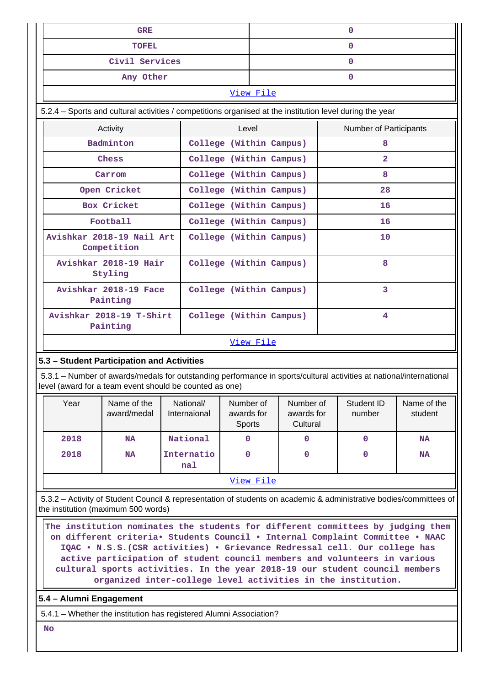| <b>GRE</b>                                                                                                                                                                     |                                      |                           |                      |           | $\mathbf{0}$                        |    |                        |                        |
|--------------------------------------------------------------------------------------------------------------------------------------------------------------------------------|--------------------------------------|---------------------------|----------------------|-----------|-------------------------------------|----|------------------------|------------------------|
| TOFEL                                                                                                                                                                          |                                      |                           |                      |           | 0                                   |    |                        |                        |
| Civil Services                                                                                                                                                                 |                                      |                           |                      |           |                                     |    | $\mathbf{0}$           |                        |
|                                                                                                                                                                                | Any Other                            |                           |                      |           |                                     |    | 0                      |                        |
|                                                                                                                                                                                |                                      |                           |                      | View File |                                     |    |                        |                        |
| 5.2.4 – Sports and cultural activities / competitions organised at the institution level during the year                                                                       |                                      |                           |                      |           |                                     |    |                        |                        |
|                                                                                                                                                                                | Activity                             |                           | Level                |           |                                     |    | Number of Participants |                        |
|                                                                                                                                                                                | Badminton                            | College (Within Campus)   |                      |           |                                     |    | 8                      |                        |
|                                                                                                                                                                                | Chess                                | College (Within Campus)   |                      |           |                                     |    | $\overline{2}$         |                        |
|                                                                                                                                                                                | Carrom                               | College (Within Campus)   |                      |           |                                     |    | 8                      |                        |
|                                                                                                                                                                                | Open Cricket                         | College (Within Campus)   |                      |           |                                     |    | 28                     |                        |
|                                                                                                                                                                                | Box Cricket                          | College (Within Campus)   |                      |           |                                     |    | 16                     |                        |
|                                                                                                                                                                                | Football                             | College (Within Campus)   |                      |           |                                     |    | 16                     |                        |
| Avishkar 2018-19 Nail Art<br>College (Within Campus)<br>Competition                                                                                                            |                                      |                           |                      |           |                                     | 10 |                        |                        |
|                                                                                                                                                                                | Avishkar 2018-19 Hair<br>Styling     | College (Within Campus)   |                      |           |                                     |    | 8                      |                        |
|                                                                                                                                                                                | Avishkar 2018-19 Face<br>Painting    | College (Within Campus)   |                      |           |                                     | 3  |                        |                        |
|                                                                                                                                                                                | Avishkar 2018-19 T-Shirt<br>Painting | College (Within Campus)   |                      |           |                                     |    | 4                      |                        |
|                                                                                                                                                                                |                                      |                           |                      | View File |                                     |    |                        |                        |
| 5.3 - Student Participation and Activities                                                                                                                                     |                                      |                           |                      |           |                                     |    |                        |                        |
| 5.3.1 – Number of awards/medals for outstanding performance in sports/cultural activities at national/international<br>level (award for a team event should be counted as one) |                                      |                           |                      |           |                                     |    |                        |                        |
| Year                                                                                                                                                                           | Name of the<br>award/medal           | National/<br>Internaional | awards for<br>Sports | Number of | Number of<br>awards for<br>Cultural |    | Student ID<br>number   | Name of the<br>student |
| 2018                                                                                                                                                                           | <b>NA</b>                            | National                  | 0                    |           | $\mathbf 0$                         |    | 0                      | NA                     |
| 2018                                                                                                                                                                           | <b>NA</b>                            | Internatio<br>nal         | $\mathbf 0$          |           |                                     |    | 0                      | NA                     |
|                                                                                                                                                                                |                                      |                           |                      | View File |                                     |    |                        |                        |
| 5.3.2 - Activity of Student Council & representation of students on academic & administrative bodies/committees of<br>the institution (maximum 500 words)                      |                                      |                           |                      |           |                                     |    |                        |                        |
| The institution nominates the students for different committees by judging them                                                                                                |                                      |                           |                      |           |                                     |    |                        |                        |

**on different criteria• Students Council • Internal Complaint Committee • NAAC IQAC • N.S.S.(CSR activities) • Grievance Redressal cell. Our college has active participation of student council members and volunteers in various cultural sports activities. In the year 2018-19 our student council members organized inter-college level activities in the institution.**

**5.4 – Alumni Engagement**

5.4.1 – Whether the institution has registered Alumni Association?

 **No**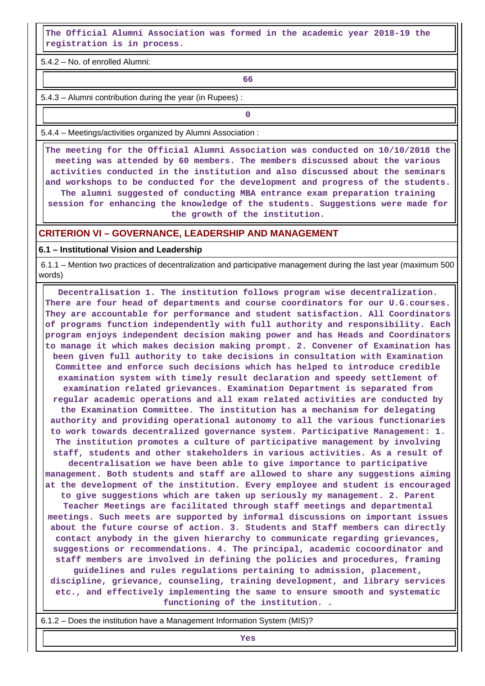**The Official Alumni Association was formed in the academic year 2018-19 the registration is in process.**

5.4.2 – No. of enrolled Alumni:

**66**

5.4.3 – Alumni contribution during the year (in Rupees) :

**0**

5.4.4 – Meetings/activities organized by Alumni Association :

 **The meeting for the Official Alumni Association was conducted on 10/10/2018 the meeting was attended by 60 members. The members discussed about the various activities conducted in the institution and also discussed about the seminars and workshops to be conducted for the development and progress of the students. The alumni suggested of conducting MBA entrance exam preparation training session for enhancing the knowledge of the students. Suggestions were made for the growth of the institution.**

### **CRITERION VI – GOVERNANCE, LEADERSHIP AND MANAGEMENT**

#### **6.1 – Institutional Vision and Leadership**

 6.1.1 – Mention two practices of decentralization and participative management during the last year (maximum 500 words)

 **Decentralisation 1. The institution follows program wise decentralization. There are four head of departments and course coordinators for our U.G.courses. They are accountable for performance and student satisfaction. All Coordinators of programs function independently with full authority and responsibility. Each program enjoys independent decision making power and has Heads and Coordinators to manage it which makes decision making prompt. 2. Convener of Examination has been given full authority to take decisions in consultation with Examination Committee and enforce such decisions which has helped to introduce credible examination system with timely result declaration and speedy settlement of examination related grievances. Examination Department is separated from regular academic operations and all exam related activities are conducted by the Examination Committee. The institution has a mechanism for delegating authority and providing operational autonomy to all the various functionaries to work towards decentralized governance system. Participative Management: 1. The institution promotes a culture of participative management by involving staff, students and other stakeholders in various activities. As a result of decentralisation we have been able to give importance to participative management. Both students and staff are allowed to share any suggestions aiming at the development of the institution. Every employee and student is encouraged to give suggestions which are taken up seriously my management. 2. Parent Teacher Meetings are facilitated through staff meetings and departmental meetings. Such meets are supported by informal discussions on important issues about the future course of action. 3. Students and Staff members can directly contact anybody in the given hierarchy to communicate regarding grievances, suggestions or recommendations. 4. The principal, academic cocoordinator and staff members are involved in defining the policies and procedures, framing guidelines and rules regulations pertaining to admission, placement, discipline, grievance, counseling, training development, and library services etc., and effectively implementing the same to ensure smooth and systematic functioning of the institution. .**

6.1.2 – Does the institution have a Management Information System (MIS)?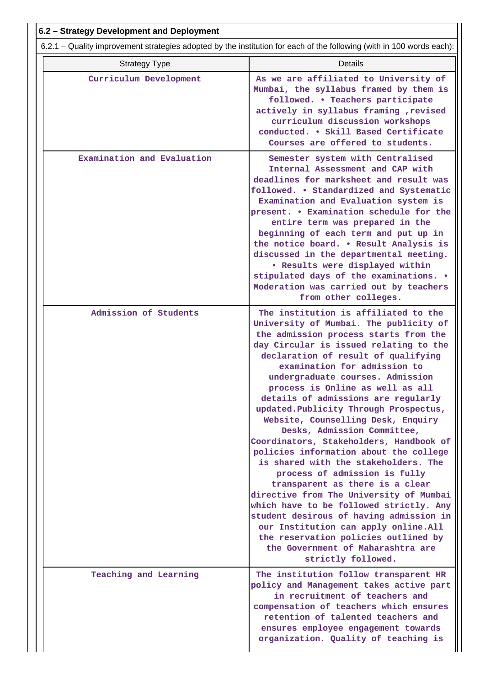| 6.2 - Strategy Development and Deployment                                                                             |                                                                                                                                                                                                                                                                                                                                                                                                                                                                                                                                                                                                                                                                                                                                                                                                                                                                                                                                                      |  |  |  |  |  |
|-----------------------------------------------------------------------------------------------------------------------|------------------------------------------------------------------------------------------------------------------------------------------------------------------------------------------------------------------------------------------------------------------------------------------------------------------------------------------------------------------------------------------------------------------------------------------------------------------------------------------------------------------------------------------------------------------------------------------------------------------------------------------------------------------------------------------------------------------------------------------------------------------------------------------------------------------------------------------------------------------------------------------------------------------------------------------------------|--|--|--|--|--|
| 6.2.1 – Quality improvement strategies adopted by the institution for each of the following (with in 100 words each): |                                                                                                                                                                                                                                                                                                                                                                                                                                                                                                                                                                                                                                                                                                                                                                                                                                                                                                                                                      |  |  |  |  |  |
| <b>Strategy Type</b>                                                                                                  | <b>Details</b>                                                                                                                                                                                                                                                                                                                                                                                                                                                                                                                                                                                                                                                                                                                                                                                                                                                                                                                                       |  |  |  |  |  |
| Curriculum Development                                                                                                | As we are affiliated to University of<br>Mumbai, the syllabus framed by them is<br>followed. . Teachers participate<br>actively in syllabus framing , revised<br>curriculum discussion workshops<br>conducted. . Skill Based Certificate<br>Courses are offered to students.                                                                                                                                                                                                                                                                                                                                                                                                                                                                                                                                                                                                                                                                         |  |  |  |  |  |
| Examination and Evaluation                                                                                            | Semester system with Centralised<br>Internal Assessment and CAP with<br>deadlines for marksheet and result was<br>followed. . Standardized and Systematic<br>Examination and Evaluation system is<br>present. . Examination schedule for the<br>entire term was prepared in the<br>beginning of each term and put up in<br>the notice board. . Result Analysis is<br>discussed in the departmental meeting.<br>. Results were displayed within<br>stipulated days of the examinations. .<br>Moderation was carried out by teachers<br>from other colleges.                                                                                                                                                                                                                                                                                                                                                                                           |  |  |  |  |  |
| Admission of Students                                                                                                 | The institution is affiliated to the<br>University of Mumbai. The publicity of<br>the admission process starts from the<br>day Circular is issued relating to the<br>declaration of result of qualifying<br>examination for admission to<br>undergraduate courses. Admission<br>process is Online as well as all<br>details of admissions are regularly<br>updated. Publicity Through Prospectus,<br>Website, Counselling Desk, Enquiry<br>Desks, Admission Committee,<br>Coordinators, Stakeholders, Handbook of<br>policies information about the college<br>is shared with the stakeholders. The<br>process of admission is fully<br>transparent as there is a clear<br>directive from The University of Mumbai<br>which have to be followed strictly. Any<br>student desirous of having admission in<br>our Institution can apply online. All<br>the reservation policies outlined by<br>the Government of Maharashtra are<br>strictly followed. |  |  |  |  |  |
| Teaching and Learning                                                                                                 | The institution follow transparent HR<br>policy and Management takes active part<br>in recruitment of teachers and<br>compensation of teachers which ensures<br>retention of talented teachers and<br>ensures employee engagement towards<br>organization. Quality of teaching is                                                                                                                                                                                                                                                                                                                                                                                                                                                                                                                                                                                                                                                                    |  |  |  |  |  |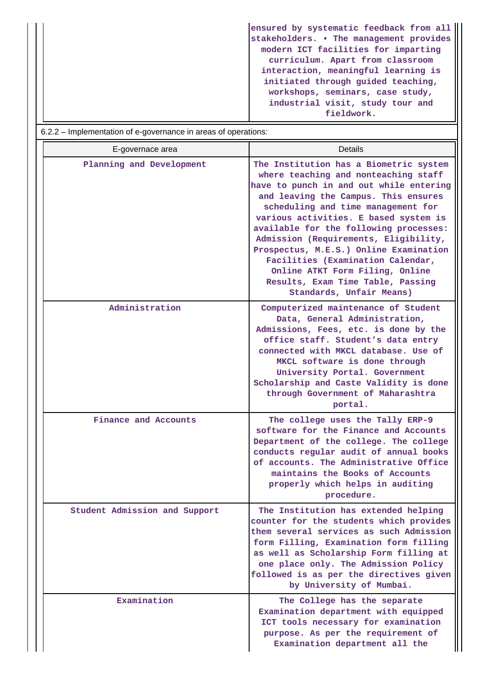**ensured by systematic feedback from all stakeholders. • The management provides modern ICT facilities for imparting curriculum. Apart from classroom interaction, meaningful learning is initiated through guided teaching, workshops, seminars, case study, industrial visit, study tour and fieldwork.**

| 6.2.2 – Implementation of e-governance in areas of operations: |                                                                                                                                                                                                                                                                                                                                                                                                                                                                                                                        |  |  |  |  |
|----------------------------------------------------------------|------------------------------------------------------------------------------------------------------------------------------------------------------------------------------------------------------------------------------------------------------------------------------------------------------------------------------------------------------------------------------------------------------------------------------------------------------------------------------------------------------------------------|--|--|--|--|
| E-governace area                                               | <b>Details</b>                                                                                                                                                                                                                                                                                                                                                                                                                                                                                                         |  |  |  |  |
| Planning and Development                                       | The Institution has a Biometric system<br>where teaching and nonteaching staff<br>have to punch in and out while entering<br>and leaving the Campus. This ensures<br>scheduling and time management for<br>various activities. E based system is<br>available for the following processes:<br>Admission (Requirements, Eligibility,<br>Prospectus, M.E.S.) Online Examination<br>Facilities (Examination Calendar,<br>Online ATKT Form Filing, Online<br>Results, Exam Time Table, Passing<br>Standards, Unfair Means) |  |  |  |  |
| Administration                                                 | Computerized maintenance of Student<br>Data, General Administration,<br>Admissions, Fees, etc. is done by the<br>office staff. Student's data entry<br>connected with MKCL database. Use of<br>MKCL software is done through<br>University Portal. Government<br>Scholarship and Caste Validity is done<br>through Government of Maharashtra<br>portal.                                                                                                                                                                |  |  |  |  |
| Finance and Accounts                                           | The college uses the Tally ERP-9<br>software for the Finance and Accounts<br>Department of the college. The college<br>conducts regular audit of annual books<br>of accounts. The Administrative Office<br>maintains the Books of Accounts<br>properly which helps in auditing<br>procedure.                                                                                                                                                                                                                           |  |  |  |  |
| Student Admission and Support                                  | The Institution has extended helping<br>counter for the students which provides<br>them several services as such Admission<br>form Filling, Examination form filling<br>as well as Scholarship Form filling at<br>one place only. The Admission Policy<br>followed is as per the directives given<br>by University of Mumbai.                                                                                                                                                                                          |  |  |  |  |
| Examination                                                    | The College has the separate<br>Examination department with equipped<br>ICT tools necessary for examination<br>purpose. As per the requirement of<br>Examination department all the                                                                                                                                                                                                                                                                                                                                    |  |  |  |  |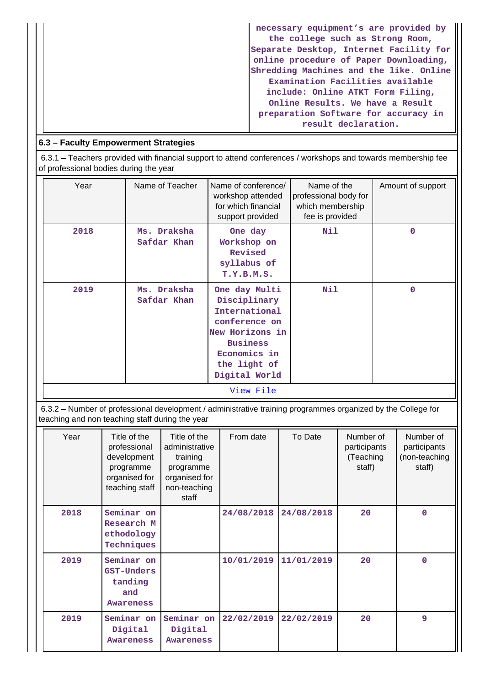| necessary equipment's are provided by   |
|-----------------------------------------|
| the college such as Strong Room,        |
| Separate Desktop, Internet Facility for |
| online procedure of Paper Downloading,  |
| Shredding Machines and the like. Online |
| Examination Facilities available        |
| include: Online ATKT Form Filing,       |
| Online Results. We have a Result        |
| preparation Software for accuracy in    |
| result declaration.                     |

## **6.3 – Faculty Empowerment Strategies**

 6.3.1 – Teachers provided with financial support to attend conferences / workshops and towards membership fee of professional bodies during the year

| Year | Name of Teacher            | Name of conference/<br>workshop attended<br>for which financial<br>support provided                                                                    | Name of the<br>professional body for<br>which membership<br>fee is provided | Amount of support |
|------|----------------------------|--------------------------------------------------------------------------------------------------------------------------------------------------------|-----------------------------------------------------------------------------|-------------------|
| 2018 | Ms. Draksha<br>Safdar Khan | One day<br>Workshop on<br>Revised<br>syllabus of<br>T.Y.B.M.S.                                                                                         | Nil                                                                         | 0                 |
| 2019 | Ms. Draksha<br>Safdar Khan | One day Multi<br>Disciplinary<br>International<br>conference on<br>New Horizons in<br><b>Business</b><br>Economics in<br>the light of<br>Digital World | Nil                                                                         | $\Omega$          |
|      |                            | View File                                                                                                                                              |                                                                             |                   |

 6.3.2 – Number of professional development / administrative training programmes organized by the College for teaching and non teaching staff during the year

| Year | Title of the<br>professional<br>development<br>programme<br>organised for<br>teaching staff | Title of the<br>administrative<br>training<br>programme<br>organised for<br>non-teaching<br>staff | From date  | To Date    | Number of<br>participants<br>(Teaching<br>staff) | Number of<br>participants<br>(non-teaching<br>staff) |
|------|---------------------------------------------------------------------------------------------|---------------------------------------------------------------------------------------------------|------------|------------|--------------------------------------------------|------------------------------------------------------|
| 2018 | Seminar on<br>Research M<br>ethodology<br>Techniques                                        |                                                                                                   | 24/08/2018 | 24/08/2018 | 20                                               | $\Omega$                                             |
| 2019 | Seminar on<br>GST-Unders<br>tanding<br>and<br><b>Awareness</b>                              |                                                                                                   | 10/01/2019 | 11/01/2019 | 20                                               | $\Omega$                                             |
| 2019 | Seminar on<br>Digital<br><b>Awareness</b>                                                   | Seminar on<br>Digital<br><b>Awareness</b>                                                         | 22/02/2019 | 22/02/2019 | 20                                               | 9                                                    |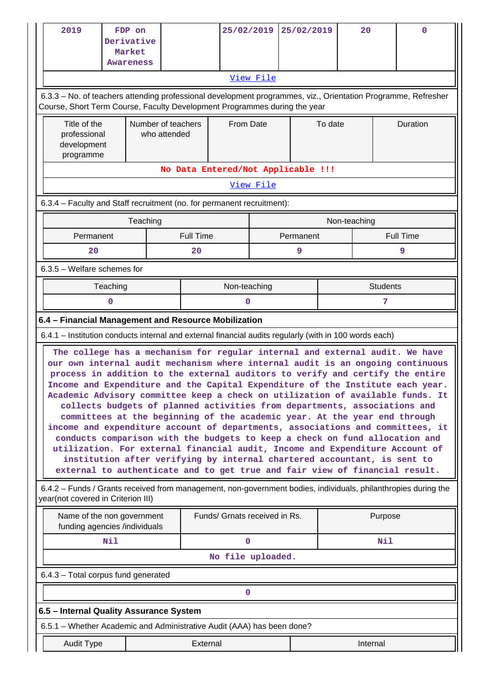|                                                       | 2019                                                                                                                                                                                                                                                                                                                                                                                                                                                                                                                                                                                                                                                                                                                                                                                                                                                                                                                                                                                                                                                                                                | FDP on<br>Derivative<br>Market<br><b>Awareness</b>          |                                    |                  |                                    | 25/02/2019 | 25/02/2019 |         | 20           |         | $\Omega$         |
|-------------------------------------------------------|-----------------------------------------------------------------------------------------------------------------------------------------------------------------------------------------------------------------------------------------------------------------------------------------------------------------------------------------------------------------------------------------------------------------------------------------------------------------------------------------------------------------------------------------------------------------------------------------------------------------------------------------------------------------------------------------------------------------------------------------------------------------------------------------------------------------------------------------------------------------------------------------------------------------------------------------------------------------------------------------------------------------------------------------------------------------------------------------------------|-------------------------------------------------------------|------------------------------------|------------------|------------------------------------|------------|------------|---------|--------------|---------|------------------|
|                                                       |                                                                                                                                                                                                                                                                                                                                                                                                                                                                                                                                                                                                                                                                                                                                                                                                                                                                                                                                                                                                                                                                                                     |                                                             |                                    |                  |                                    | View File  |            |         |              |         |                  |
|                                                       | 6.3.3 - No. of teachers attending professional development programmes, viz., Orientation Programme, Refresher<br>Course, Short Term Course, Faculty Development Programmes during the year                                                                                                                                                                                                                                                                                                                                                                                                                                                                                                                                                                                                                                                                                                                                                                                                                                                                                                          |                                                             |                                    |                  |                                    |            |            |         |              |         |                  |
|                                                       | Title of the<br>professional<br>development<br>programme                                                                                                                                                                                                                                                                                                                                                                                                                                                                                                                                                                                                                                                                                                                                                                                                                                                                                                                                                                                                                                            |                                                             | Number of teachers<br>who attended |                  | <b>From Date</b>                   |            |            | To date |              |         | Duration         |
|                                                       |                                                                                                                                                                                                                                                                                                                                                                                                                                                                                                                                                                                                                                                                                                                                                                                                                                                                                                                                                                                                                                                                                                     |                                                             |                                    |                  | No Data Entered/Not Applicable !!! |            |            |         |              |         |                  |
|                                                       |                                                                                                                                                                                                                                                                                                                                                                                                                                                                                                                                                                                                                                                                                                                                                                                                                                                                                                                                                                                                                                                                                                     |                                                             |                                    |                  |                                    | View File  |            |         |              |         |                  |
|                                                       | 6.3.4 - Faculty and Staff recruitment (no. for permanent recruitment):                                                                                                                                                                                                                                                                                                                                                                                                                                                                                                                                                                                                                                                                                                                                                                                                                                                                                                                                                                                                                              |                                                             |                                    |                  |                                    |            |            |         |              |         |                  |
|                                                       |                                                                                                                                                                                                                                                                                                                                                                                                                                                                                                                                                                                                                                                                                                                                                                                                                                                                                                                                                                                                                                                                                                     | Teaching                                                    |                                    |                  |                                    |            |            |         | Non-teaching |         |                  |
|                                                       | Permanent                                                                                                                                                                                                                                                                                                                                                                                                                                                                                                                                                                                                                                                                                                                                                                                                                                                                                                                                                                                                                                                                                           |                                                             |                                    | <b>Full Time</b> |                                    |            | Permanent  |         |              |         | <b>Full Time</b> |
|                                                       | 20                                                                                                                                                                                                                                                                                                                                                                                                                                                                                                                                                                                                                                                                                                                                                                                                                                                                                                                                                                                                                                                                                                  |                                                             |                                    | 20               |                                    |            | 9          |         |              |         | 9                |
|                                                       | $6.3.5$ – Welfare schemes for                                                                                                                                                                                                                                                                                                                                                                                                                                                                                                                                                                                                                                                                                                                                                                                                                                                                                                                                                                                                                                                                       |                                                             |                                    |                  |                                    |            |            |         |              |         |                  |
| <b>Students</b><br>Teaching<br>Non-teaching<br>0<br>7 |                                                                                                                                                                                                                                                                                                                                                                                                                                                                                                                                                                                                                                                                                                                                                                                                                                                                                                                                                                                                                                                                                                     |                                                             |                                    |                  |                                    |            |            |         |              |         |                  |
|                                                       |                                                                                                                                                                                                                                                                                                                                                                                                                                                                                                                                                                                                                                                                                                                                                                                                                                                                                                                                                                                                                                                                                                     | 0                                                           |                                    |                  |                                    |            |            |         |              |         |                  |
|                                                       | 6.4 - Financial Management and Resource Mobilization                                                                                                                                                                                                                                                                                                                                                                                                                                                                                                                                                                                                                                                                                                                                                                                                                                                                                                                                                                                                                                                |                                                             |                                    |                  |                                    |            |            |         |              |         |                  |
|                                                       | 6.4.1 – Institution conducts internal and external financial audits regularly (with in 100 words each)<br>The college has a mechanism for regular internal and external audit. We have<br>our own internal audit mechanism where internal audit is an ongoing continuous<br>process in addition to the external auditors to verify and certify the entire<br>Income and Expenditure and the Capital Expenditure of the Institute each year.<br>Academic Advisory committee keep a check on utilization of available funds. It<br>collects budgets of planned activities from departments, associations and<br>committees at the beginning of the academic year. At the year end through<br>income and expenditure account of departments, associations and committees, it<br>conducts comparison with the budgets to keep a check on fund allocation and<br>utilization. For external financial audit, Income and Expenditure Account of<br>institution after verifying by internal chartered accountant, is sent to<br>external to authenticate and to get true and fair view of financial result. |                                                             |                                    |                  |                                    |            |            |         |              |         |                  |
|                                                       | 6.4.2 – Funds / Grants received from management, non-government bodies, individuals, philanthropies during the<br>year(not covered in Criterion III)                                                                                                                                                                                                                                                                                                                                                                                                                                                                                                                                                                                                                                                                                                                                                                                                                                                                                                                                                |                                                             |                                    |                  |                                    |            |            |         |              |         |                  |
|                                                       |                                                                                                                                                                                                                                                                                                                                                                                                                                                                                                                                                                                                                                                                                                                                                                                                                                                                                                                                                                                                                                                                                                     | Name of the non government<br>funding agencies /individuals |                                    |                  | Funds/ Grnats received in Rs.      |            |            |         |              | Purpose |                  |
|                                                       |                                                                                                                                                                                                                                                                                                                                                                                                                                                                                                                                                                                                                                                                                                                                                                                                                                                                                                                                                                                                                                                                                                     | Nil                                                         |                                    |                  | $\mathbf 0$                        |            |            |         |              | Nil     |                  |
|                                                       |                                                                                                                                                                                                                                                                                                                                                                                                                                                                                                                                                                                                                                                                                                                                                                                                                                                                                                                                                                                                                                                                                                     |                                                             |                                    |                  | No file uploaded.                  |            |            |         |              |         |                  |
|                                                       | 6.4.3 - Total corpus fund generated                                                                                                                                                                                                                                                                                                                                                                                                                                                                                                                                                                                                                                                                                                                                                                                                                                                                                                                                                                                                                                                                 |                                                             |                                    |                  |                                    |            |            |         |              |         |                  |
|                                                       |                                                                                                                                                                                                                                                                                                                                                                                                                                                                                                                                                                                                                                                                                                                                                                                                                                                                                                                                                                                                                                                                                                     |                                                             |                                    |                  | 0                                  |            |            |         |              |         |                  |
|                                                       | 6.5 - Internal Quality Assurance System                                                                                                                                                                                                                                                                                                                                                                                                                                                                                                                                                                                                                                                                                                                                                                                                                                                                                                                                                                                                                                                             |                                                             |                                    |                  |                                    |            |            |         |              |         |                  |
|                                                       | 6.5.1 – Whether Academic and Administrative Audit (AAA) has been done?                                                                                                                                                                                                                                                                                                                                                                                                                                                                                                                                                                                                                                                                                                                                                                                                                                                                                                                                                                                                                              |                                                             |                                    |                  |                                    |            |            |         |              |         |                  |
|                                                       | External<br>Audit Type<br>Internal                                                                                                                                                                                                                                                                                                                                                                                                                                                                                                                                                                                                                                                                                                                                                                                                                                                                                                                                                                                                                                                                  |                                                             |                                    |                  |                                    |            |            |         |              |         |                  |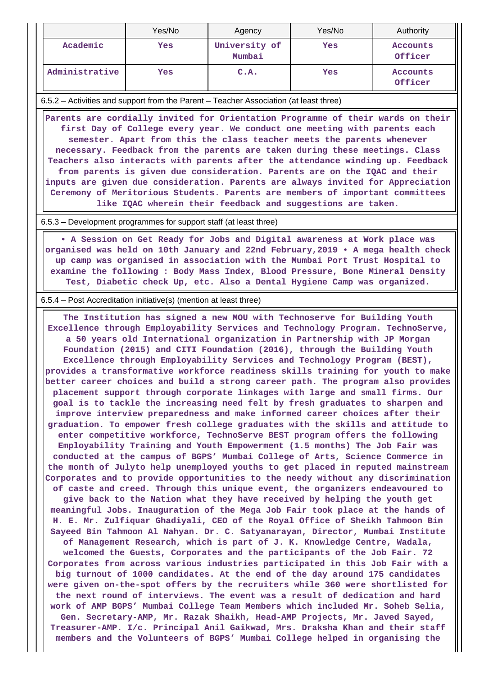|                                                                                                                                                                                                                                                                                                                                                                                                                                                                                                                                                                                                                                                                                                                          | Yes/No     | Agency                  | Yes/No     | Authority           |  |  |  |
|--------------------------------------------------------------------------------------------------------------------------------------------------------------------------------------------------------------------------------------------------------------------------------------------------------------------------------------------------------------------------------------------------------------------------------------------------------------------------------------------------------------------------------------------------------------------------------------------------------------------------------------------------------------------------------------------------------------------------|------------|-------------------------|------------|---------------------|--|--|--|
| Academic                                                                                                                                                                                                                                                                                                                                                                                                                                                                                                                                                                                                                                                                                                                 | <b>Yes</b> | University of<br>Mumbai | <b>Yes</b> | Accounts<br>Officer |  |  |  |
| Administrative                                                                                                                                                                                                                                                                                                                                                                                                                                                                                                                                                                                                                                                                                                           | Yes        | C.A.                    | <b>Yes</b> | Accounts<br>Officer |  |  |  |
| 6.5.2 – Activities and support from the Parent – Teacher Association (at least three)                                                                                                                                                                                                                                                                                                                                                                                                                                                                                                                                                                                                                                    |            |                         |            |                     |  |  |  |
| Parents are cordially invited for Orientation Programme of their wards on their<br>first Day of College every year. We conduct one meeting with parents each<br>semester. Apart from this the class teacher meets the parents whenever<br>necessary. Feedback from the parents are taken during these meetings. Class<br>Teachers also interacts with parents after the attendance winding up. Feedback<br>from parents is given due consideration. Parents are on the IQAC and their<br>inputs are given due consideration. Parents are always invited for Appreciation<br>Ceremony of Meritorious Students. Parents are members of important committees<br>like IQAC wherein their feedback and suggestions are taken. |            |                         |            |                     |  |  |  |
| 6.5.3 – Development programmes for support staff (at least three)                                                                                                                                                                                                                                                                                                                                                                                                                                                                                                                                                                                                                                                        |            |                         |            |                     |  |  |  |
| . A Session on Get Ready for Jobs and Digital awareness at Work place was<br>organised was held on 10th January and 22nd February, 2019 . A mega health check                                                                                                                                                                                                                                                                                                                                                                                                                                                                                                                                                            |            |                         |            |                     |  |  |  |

**up camp was organised in association with the Mumbai Port Trust Hospital to examine the following : Body Mass Index, Blood Pressure, Bone Mineral Density Test, Diabetic check Up, etc. Also a Dental Hygiene Camp was organized.**

6.5.4 – Post Accreditation initiative(s) (mention at least three)

 **The Institution has signed a new MOU with Technoserve for Building Youth Excellence through Employability Services and Technology Program. TechnoServe, a 50 years old International organization in Partnership with JP Morgan Foundation (2015) and CITI Foundation (2016), through the Building Youth Excellence through Employability Services and Technology Program (BEST), provides a transformative workforce readiness skills training for youth to make better career choices and build a strong career path. The program also provides placement support through corporate linkages with large and small firms. Our goal is to tackle the increasing need felt by fresh graduates to sharpen and improve interview preparedness and make informed career choices after their graduation. To empower fresh college graduates with the skills and attitude to enter competitive workforce, TechnoServe BEST program offers the following Employability Training and Youth Empowerment (1.5 months) The Job Fair was conducted at the campus of BGPS' Mumbai College of Arts, Science Commerce in the month of Julyto help unemployed youths to get placed in reputed mainstream Corporates and to provide opportunities to the needy without any discrimination of caste and creed. Through this unique event, the organizers endeavoured to give back to the Nation what they have received by helping the youth get meaningful Jobs. Inauguration of the Mega Job Fair took place at the hands of H. E. Mr. Zulfiquar Ghadiyali, CEO of the Royal Office of Sheikh Tahmoon Bin Sayeed Bin Tahmoon Al Nahyan. Dr. C. Satyanarayan, Director, Mumbai Institute of Management Research, which is part of J. K. Knowledge Centre, Wadala, welcomed the Guests, Corporates and the participants of the Job Fair. 72 Corporates from across various industries participated in this Job Fair with a big turnout of 1000 candidates. At the end of the day around 175 candidates were given on-the-spot offers by the recruiters while 360 were shortlisted for the next round of interviews. The event was a result of dedication and hard work of AMP BGPS' Mumbai College Team Members which included Mr. Soheb Selia, Gen. Secretary-AMP, Mr. Razak Shaikh, Head-AMP Projects, Mr. Javed Sayed, Treasurer-AMP. I/c. Principal Anil Gaikwad, Mrs. Draksha Khan and their staff members and the Volunteers of BGPS' Mumbai College helped in organising the**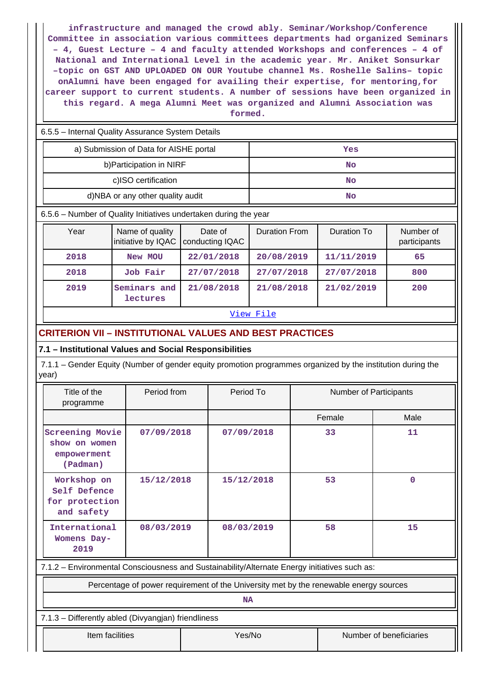**infrastructure and managed the crowd ably. Seminar/Workshop/Conference Committee in association various committees departments had organized Seminars – 4, Guest Lecture – 4 and faculty attended Workshops and conferences – 4 of National and International Level in the academic year. Mr. Aniket Sonsurkar –topic on GST AND UPLOADED ON OUR Youtube channel Ms. Roshelle Salins– topic onAlumni have been engaged for availing their expertise, for mentoring,for career support to current students. A number of sessions have been organized in this regard. A mega Alumni Meet was organized and Alumni Association was**

**formed.**

6.5.5 – Internal Quality Assurance System Details

| a) Submission of Data for AISHE portal | Yes |
|----------------------------------------|-----|
| b) Participation in NIRF               | No  |
| c)ISO certification                    | No  |
| d)NBA or any other quality audit       | No  |

6.5.6 – Number of Quality Initiatives undertaken during the year

| Year | Name of quality<br>initiative by IQAC | Date of<br>conducting IQAC | <b>Duration From</b> | Duration To | Number of<br>participants |
|------|---------------------------------------|----------------------------|----------------------|-------------|---------------------------|
| 2018 | New MOU                               | 22/01/2018                 | 20/08/2019           | 11/11/2019  | 65                        |
| 2018 | <b>Job Fair</b>                       | 27/07/2018                 | 27/07/2018           | 27/07/2018  | 800                       |
| 2019 | Seminars and<br>lectures              | 21/08/2018                 | 21/08/2018           | 21/02/2019  | 200                       |

#### [View File](https://assessmentonline.naac.gov.in/public/Postacc/Quality_Initiatives_B/4808_Quality_Initiatives_B_1584089792.xls)

## **CRITERION VII – INSTITUTIONAL VALUES AND BEST PRACTICES**

## **7.1 – Institutional Values and Social Responsibilities**

 7.1.1 – Gender Equity (Number of gender equity promotion programmes organized by the institution during the year)

| Title of the<br>programme                                          | Period from | Period To  | <b>Number of Participants</b> |      |  |
|--------------------------------------------------------------------|-------------|------------|-------------------------------|------|--|
|                                                                    |             |            | Female                        | Male |  |
| <b>Screening Movie</b><br>show on women<br>empowerment<br>(Padman) | 07/09/2018  | 07/09/2018 | 33                            | 11   |  |
| Workshop on<br>Self Defence<br>for protection<br>and safety        | 15/12/2018  | 15/12/2018 | 53                            | 0    |  |
| International<br>Womens Day-<br>2019                               | 08/03/2019  | 08/03/2019 | 58                            | 15   |  |

7.1.2 – Environmental Consciousness and Sustainability/Alternate Energy initiatives such as:

Percentage of power requirement of the University met by the renewable energy sources

**NA**

7.1.3 – Differently abled (Divyangjan) friendliness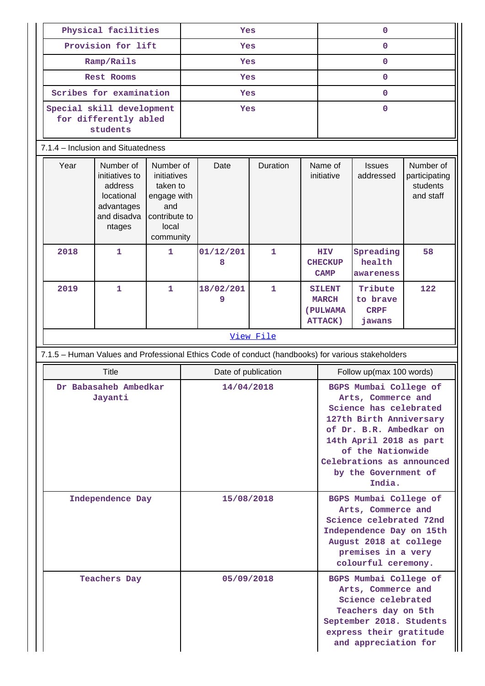| Physical facilities<br>Yes<br>Provision for lift<br>Yes |                                                                                                                                                                                     |            |                     |                                                                                                   |                                                                                                                                                                            | $\mathbf 0$                                                                                                                                                                                                                                 |                                                             |                                              |                                                     |  |  |
|---------------------------------------------------------|-------------------------------------------------------------------------------------------------------------------------------------------------------------------------------------|------------|---------------------|---------------------------------------------------------------------------------------------------|----------------------------------------------------------------------------------------------------------------------------------------------------------------------------|---------------------------------------------------------------------------------------------------------------------------------------------------------------------------------------------------------------------------------------------|-------------------------------------------------------------|----------------------------------------------|-----------------------------------------------------|--|--|
|                                                         |                                                                                                                                                                                     |            |                     |                                                                                                   |                                                                                                                                                                            |                                                                                                                                                                                                                                             | $\mathbf 0$                                                 |                                              |                                                     |  |  |
| Ramp/Rails                                              |                                                                                                                                                                                     |            |                     | Yes                                                                                               |                                                                                                                                                                            |                                                                                                                                                                                                                                             |                                                             | $\mathbf 0$                                  |                                                     |  |  |
|                                                         | <b>Rest Rooms</b>                                                                                                                                                                   |            |                     | Yes                                                                                               |                                                                                                                                                                            |                                                                                                                                                                                                                                             |                                                             | $\mathbf 0$                                  |                                                     |  |  |
|                                                         | Scribes for examination                                                                                                                                                             |            |                     | Yes                                                                                               |                                                                                                                                                                            |                                                                                                                                                                                                                                             |                                                             | $\mathbf 0$                                  |                                                     |  |  |
|                                                         | Special skill development<br>for differently abled<br>students                                                                                                                      |            |                     | Yes                                                                                               |                                                                                                                                                                            |                                                                                                                                                                                                                                             |                                                             | $\mathbf 0$                                  |                                                     |  |  |
|                                                         | 7.1.4 - Inclusion and Situatedness                                                                                                                                                  |            |                     |                                                                                                   |                                                                                                                                                                            |                                                                                                                                                                                                                                             |                                                             |                                              |                                                     |  |  |
| Year                                                    | Number of<br>Number of<br>initiatives to<br>initiatives<br>address<br>taken to<br>locational<br>engage with<br>advantages<br>and<br>and disadva<br>contribute to<br>local<br>ntages |            | community           | Date                                                                                              | Duration                                                                                                                                                                   |                                                                                                                                                                                                                                             | Name of<br>initiative                                       | <b>Issues</b><br>addressed                   | Number of<br>participating<br>students<br>and staff |  |  |
| 2018                                                    | $\mathbf{1}$                                                                                                                                                                        | 1          |                     | 01/12/201<br>8                                                                                    | 1                                                                                                                                                                          |                                                                                                                                                                                                                                             | <b>HIV</b><br><b>CHECKUP</b><br><b>CAMP</b>                 | Spreading<br>health<br>awareness             | 58                                                  |  |  |
| 2019                                                    | $\mathbf{1}$<br>$\mathbf{1}$                                                                                                                                                        |            |                     | 18/02/201<br>9                                                                                    | $\mathbf{1}$                                                                                                                                                               |                                                                                                                                                                                                                                             | <b>SILENT</b><br><b>MARCH</b><br>(PULWAMA<br><b>ATTACK)</b> | Tribute<br>to brave<br><b>CRPF</b><br>jawans | 122                                                 |  |  |
|                                                         |                                                                                                                                                                                     |            | View File           |                                                                                                   |                                                                                                                                                                            |                                                                                                                                                                                                                                             |                                                             |                                              |                                                     |  |  |
|                                                         |                                                                                                                                                                                     |            |                     | 7.1.5 - Human Values and Professional Ethics Code of conduct (handbooks) for various stakeholders |                                                                                                                                                                            |                                                                                                                                                                                                                                             |                                                             |                                              |                                                     |  |  |
|                                                         | <b>Title</b>                                                                                                                                                                        |            | Date of publication |                                                                                                   |                                                                                                                                                                            |                                                                                                                                                                                                                                             | Follow up(max 100 words)                                    |                                              |                                                     |  |  |
|                                                         | Dr Babasaheb Ambedkar<br>Jayanti                                                                                                                                                    |            | 14/04/2018          |                                                                                                   |                                                                                                                                                                            | BGPS Mumbai College of<br>Arts, Commerce and<br>Science has celebrated<br>127th Birth Anniversary<br>of Dr. B.R. Ambedkar on<br>14th April 2018 as part<br>of the Nationwide<br>Celebrations as announced<br>by the Government of<br>India. |                                                             |                                              |                                                     |  |  |
| Independence Day                                        |                                                                                                                                                                                     | 15/08/2018 |                     |                                                                                                   | BGPS Mumbai College of<br>Arts, Commerce and<br>Science celebrated 72nd<br>Independence Day on 15th<br>August 2018 at college<br>premises in a very<br>colourful ceremony. |                                                                                                                                                                                                                                             |                                                             |                                              |                                                     |  |  |
|                                                         | <b>Teachers Day</b>                                                                                                                                                                 |            | 05/09/2018          |                                                                                                   | BGPS Mumbai College of<br>Arts, Commerce and<br>Science celebrated<br>Teachers day on 5th<br>September 2018. Students<br>express their gratitude<br>and appreciation for   |                                                                                                                                                                                                                                             |                                                             |                                              |                                                     |  |  |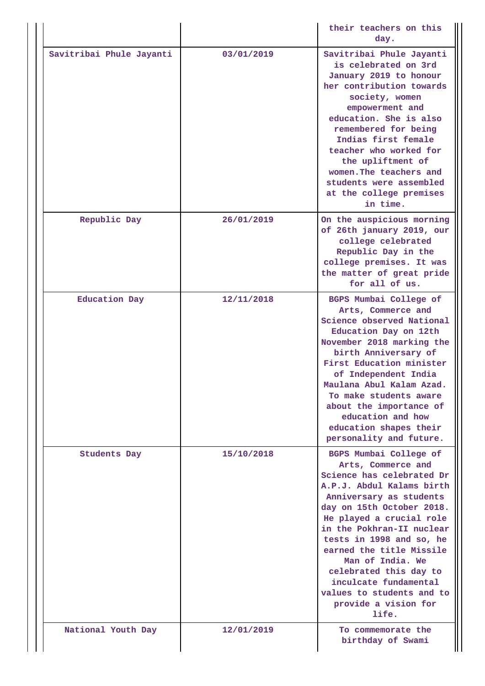|                          |            | their teachers on this<br>day.                                                                                                                                                                                                                                                                                                                                                                                       |
|--------------------------|------------|----------------------------------------------------------------------------------------------------------------------------------------------------------------------------------------------------------------------------------------------------------------------------------------------------------------------------------------------------------------------------------------------------------------------|
| Savitribai Phule Jayanti | 03/01/2019 | Savitribai Phule Jayanti<br>is celebrated on 3rd<br>January 2019 to honour<br>her contribution towards<br>society, women<br>empowerment and<br>education. She is also<br>remembered for being<br>Indias first female<br>teacher who worked for<br>the upliftment of<br>women. The teachers and<br>students were assembled<br>at the college premises<br>in time.                                                     |
| Republic Day             | 26/01/2019 | On the auspicious morning<br>of 26th january 2019, our<br>college celebrated<br>Republic Day in the<br>college premises. It was<br>the matter of great pride<br>for all of us.                                                                                                                                                                                                                                       |
| <b>Education Day</b>     | 12/11/2018 | BGPS Mumbai College of<br>Arts, Commerce and<br>Science observed National<br>Education Day on 12th<br>November 2018 marking the<br>birth Anniversary of<br>First Education minister<br>of Independent India<br>Maulana Abul Kalam Azad.<br>To make students aware<br>about the importance of<br>education and how<br>education shapes their<br>personality and future.                                               |
| <b>Students Day</b>      | 15/10/2018 | BGPS Mumbai College of<br>Arts, Commerce and<br>Science has celebrated Dr<br>A.P.J. Abdul Kalams birth<br>Anniversary as students<br>day on 15th October 2018.<br>He played a crucial role<br>in the Pokhran-II nuclear<br>tests in 1998 and so, he<br>earned the title Missile<br>Man of India. We<br>celebrated this day to<br>inculcate fundamental<br>values to students and to<br>provide a vision for<br>life. |
| National Youth Day       | 12/01/2019 | To commemorate the<br>birthday of Swami                                                                                                                                                                                                                                                                                                                                                                              |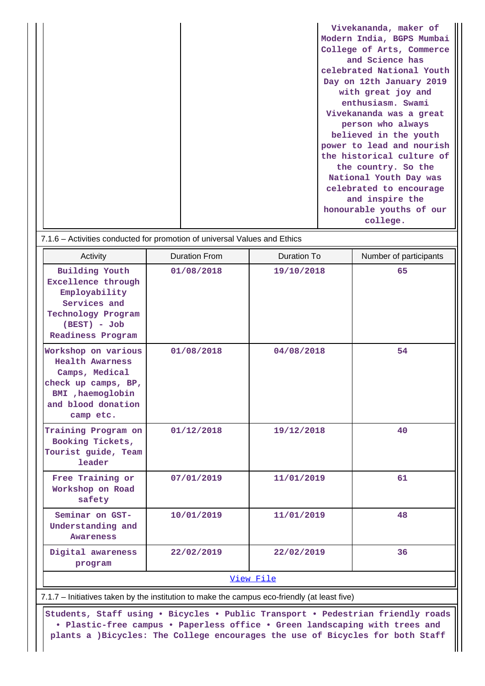|  | Vivekananda, maker of     |
|--|---------------------------|
|  | Modern India, BGPS Mumbai |
|  | College of Arts, Commerce |
|  | and Science has           |
|  | celebrated National Youth |
|  | Day on 12th January 2019  |
|  | with great joy and        |
|  | enthusiasm. Swami         |
|  | Vivekananda was a great   |
|  | person who always         |
|  | believed in the youth     |
|  | power to lead and nourish |
|  | the historical culture of |
|  | the country. So the       |
|  | National Youth Day was    |
|  | celebrated to encourage   |
|  | and inspire the           |
|  | honourable youths of our  |
|  | college.                  |

| 7.1.6 – Activities conducted for promotion of universal Values and Ethics |  |  |
|---------------------------------------------------------------------------|--|--|
|---------------------------------------------------------------------------|--|--|

| Activity                                                                                                                                       | <b>Duration From</b> | Duration To | Number of participants |  |  |  |
|------------------------------------------------------------------------------------------------------------------------------------------------|----------------------|-------------|------------------------|--|--|--|
| <b>Building Youth</b><br>Excellence through<br>Employability<br>Services and<br>Technology Program<br>$(BEST) - Job$<br>Readiness Program      | 01/08/2018           | 19/10/2018  | 65                     |  |  |  |
| Workshop on various<br><b>Health Awarness</b><br>Camps, Medical<br>check up camps, BP,<br>BMI , haemoglobin<br>and blood donation<br>camp etc. | 01/08/2018           | 04/08/2018  | 54                     |  |  |  |
| Training Program on<br>Booking Tickets,<br>Tourist guide, Team<br>leader                                                                       | 01/12/2018           | 19/12/2018  | 40                     |  |  |  |
| Free Training or<br>Workshop on Road<br>safety                                                                                                 | 07/01/2019           | 11/01/2019  | 61                     |  |  |  |
| Seminar on GST-<br>Understanding and<br>Awareness                                                                                              | 10/01/2019           | 11/01/2019  | 48                     |  |  |  |
| Digital awareness<br>program                                                                                                                   | 22/02/2019           | 22/02/2019  | 36                     |  |  |  |
| View File                                                                                                                                      |                      |             |                        |  |  |  |

7.1.7 – Initiatives taken by the institution to make the campus eco-friendly (at least five)

 **Students, Staff using • Bicycles • Public Transport • Pedestrian friendly roads • Plastic-free campus • Paperless office • Green landscaping with trees and plants a )Bicycles: The College encourages the use of Bicycles for both Staff**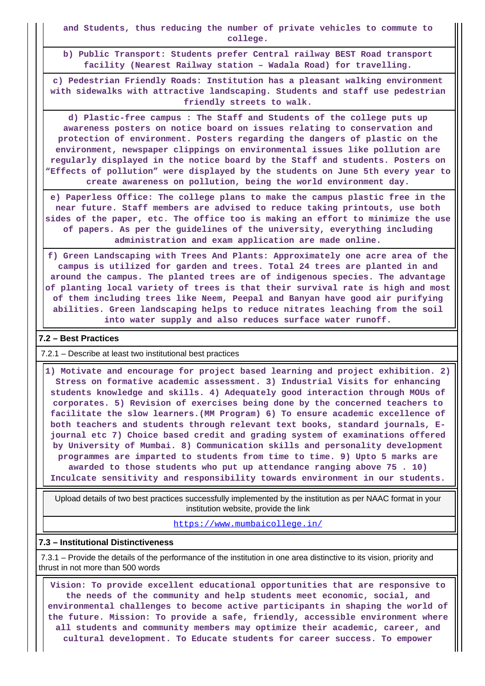**and Students, thus reducing the number of private vehicles to commute to college.**

**b) Public Transport: Students prefer Central railway BEST Road transport facility (Nearest Railway station – Wadala Road) for travelling.**

**c) Pedestrian Friendly Roads: Institution has a pleasant walking environment with sidewalks with attractive landscaping. Students and staff use pedestrian friendly streets to walk.**

**d) Plastic-free campus : The Staff and Students of the college puts up awareness posters on notice board on issues relating to conservation and protection of environment. Posters regarding the dangers of plastic on the environment, newspaper clippings on environmental issues like pollution are regularly displayed in the notice board by the Staff and students. Posters on "Effects of pollution" were displayed by the students on June 5th every year to create awareness on pollution, being the world environment day.**

**e) Paperless Office: The college plans to make the campus plastic free in the near future. Staff members are advised to reduce taking printouts, use both sides of the paper, etc. The office too is making an effort to minimize the use of papers. As per the guidelines of the university, everything including administration and exam application are made online.**

**f) Green Landscaping with Trees And Plants: Approximately one acre area of the campus is utilized for garden and trees. Total 24 trees are planted in and around the campus. The planted trees are of indigenous species. The advantage of planting local variety of trees is that their survival rate is high and most of them including trees like Neem, Peepal and Banyan have good air purifying abilities. Green landscaping helps to reduce nitrates leaching from the soil into water supply and also reduces surface water runoff.**

### **7.2 – Best Practices**

#### 7.2.1 – Describe at least two institutional best practices

 **1) Motivate and encourage for project based learning and project exhibition. 2) Stress on formative academic assessment. 3) Industrial Visits for enhancing students knowledge and skills. 4) Adequately good interaction through MOUs of corporates. 5) Revision of exercises being done by the concerned teachers to facilitate the slow learners.(MM Program) 6) To ensure academic excellence of both teachers and students through relevant text books, standard journals, Ejournal etc 7) Choice based credit and grading system of examinations offered by University of Mumbai. 8) Communication skills and personality development programmes are imparted to students from time to time. 9) Upto 5 marks are awarded to those students who put up attendance ranging above 75 . 10) Inculcate sensitivity and responsibility towards environment in our students.**

 Upload details of two best practices successfully implemented by the institution as per NAAC format in your institution website, provide the link

<https://www.mumbaicollege.in/>

### **7.3 – Institutional Distinctiveness**

 7.3.1 – Provide the details of the performance of the institution in one area distinctive to its vision, priority and thrust in not more than 500 words

 **Vision: To provide excellent educational opportunities that are responsive to the needs of the community and help students meet economic, social, and environmental challenges to become active participants in shaping the world of the future. Mission: To provide a safe, friendly, accessible environment where all students and community members may optimize their academic, career, and cultural development. To Educate students for career success. To empower**